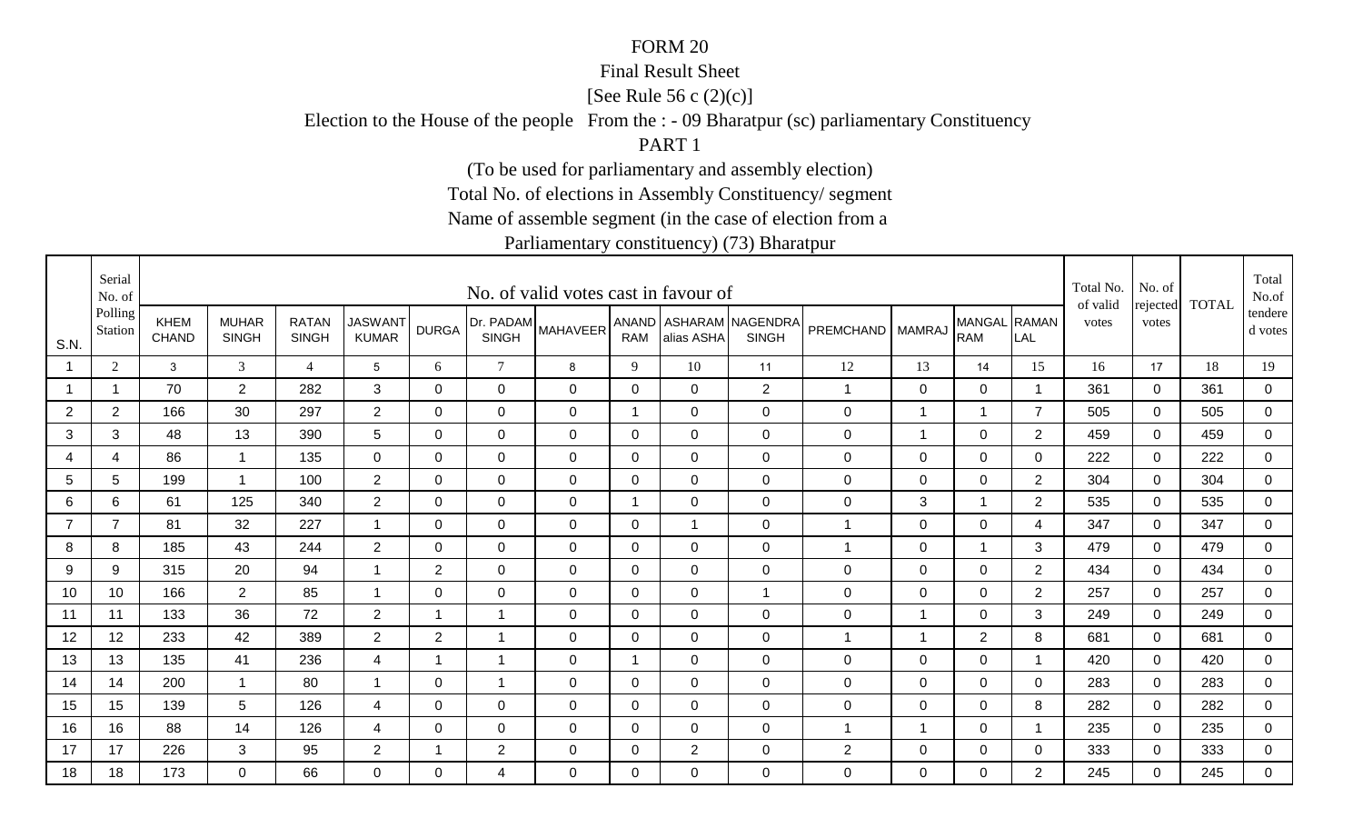#### Final Result Sheet

[See Rule 56 c (2)(c)]

Election to the House of the people From the : - 09 Bharatpur (sc) parliamentary Constituency

PART 1

(To be used for parliamentary and assembly election)

Total No. of elections in Assembly Constituency/ segment

Name of assemble segment (in the case of election from a

|                | Serial<br>No. of   |                             |                              |                              |                                |                |                           | No. of valid votes cast in favour of |                |                |                                        |                  |                |                            |                | Total No.<br>of valid | No. of<br>rejected | <b>TOTAL</b> | Total<br>No.of       |
|----------------|--------------------|-----------------------------|------------------------------|------------------------------|--------------------------------|----------------|---------------------------|--------------------------------------|----------------|----------------|----------------------------------------|------------------|----------------|----------------------------|----------------|-----------------------|--------------------|--------------|----------------------|
| S.N.           | Polling<br>Station | <b>KHEM</b><br><b>CHAND</b> | <b>MUHAR</b><br><b>SINGH</b> | <b>RATAN</b><br><b>SINGH</b> | <b>JASWANT</b><br><b>KUMAR</b> | <b>DURGA</b>   | Dr. PADAM<br><b>SINGH</b> | <b>MAHAVEER</b>                      | <b>RAM</b>     | alias ASHA     | ANAND ASHARAM NAGENDRA<br><b>SINGH</b> | <b>PREMCHAND</b> | <b>MAMRAJ</b>  | MANGAL RAMAN<br><b>RAM</b> | LAL            | votes                 | votes              |              | tendere  <br>d votes |
| $\overline{1}$ | $\overline{2}$     | $\mathbf{3}$                | $\mathfrak{Z}$               | $\overline{4}$               | 5                              | 6              | $\tau$                    | 8                                    | 9              | 10             | 11                                     | 12               | 13             | 14                         | 15             | 16                    | 17                 | 18           | 19                   |
|                |                    | 70                          | $\overline{2}$               | 282                          | 3                              | $\Omega$       | 0                         | $\mathbf 0$                          | 0              | $\Omega$       | 2                                      | $\mathbf{1}$     | 0              | $\mathbf 0$                | - 1            | 361                   | 0                  | 361          | $\overline{0}$       |
| 2              | $\overline{2}$     | 166                         | 30                           | 297                          | $\overline{2}$                 | 0              | $\mathbf 0$               | 0                                    | $\mathbf 1$    | 0              | $\mathbf 0$                            | $\mathbf 0$      | -1             | $\mathbf 1$                | $\overline{7}$ | 505                   | 0                  | 505          | 0                    |
| 3              | 3                  | 48                          | 13                           | 390                          | $5\phantom{.0}$                | 0              | 0                         | 0                                    | 0              | $\Omega$       | $\mathbf 0$                            | $\mathbf 0$      | $\mathbf 1$    | $\overline{0}$             | $\overline{2}$ | 459                   | $\Omega$           | 459          | 0                    |
| 4              | $\overline{4}$     | 86                          | $\mathbf{1}$                 | 135                          | $\mathbf 0$                    | $\Omega$       | $\mathbf 0$               | $\mathbf 0$                          | $\mathbf 0$    | $\Omega$       | $\mathbf 0$                            | $\mathsf 0$      | $\mathbf 0$    | $\overline{0}$             | $\Omega$       | 222                   | $\Omega$           | 222          | $\overline{0}$       |
| 5              | 5                  | 199                         | $\mathbf{1}$                 | 100                          | $\overline{2}$                 | $\mathbf 0$    | $\mathbf 0$               | $\mathbf 0$                          | $\mathbf 0$    | $\overline{0}$ | $\mathbf 0$                            | $\mathsf 0$      | $\mathbf 0$    | $\overline{0}$             | $\overline{2}$ | 304                   | $\mathbf 0$        | 304          | $\overline{0}$       |
| 6              | 6                  | 61                          | 125                          | 340                          | $\overline{2}$                 | $\mathbf 0$    | $\mathbf 0$               | $\mathbf 0$                          | $\overline{1}$ | $\mathbf 0$    | $\mathbf 0$                            | $\mathsf 0$      | 3              | 1                          | $\overline{2}$ | 535                   | $\mathbf 0$        | 535          | 0                    |
| $\overline{7}$ | $\overline{7}$     | 81                          | 32                           | 227                          | $\overline{1}$                 | 0              | $\mathbf 0$               | $\mathbf 0$                          | 0              |                | $\mathbf 0$                            | 1                | $\mathbf 0$    | $\mathbf 0$                | 4              | 347                   | $\mathbf 0$        | 347          | $\mathbf 0$          |
| 8              | 8                  | 185                         | 43                           | 244                          | $\overline{2}$                 | $\Omega$       | $\mathbf 0$               | $\mathbf 0$                          | 0              | $\Omega$       | $\mathbf 0$                            | 1                | $\mathbf 0$    | 1                          | 3              | 479                   | $\mathbf 0$        | 479          | 0                    |
| 9              | 9                  | 315                         | 20                           | 94                           | $\overline{1}$                 | $\overline{2}$ | $\mathbf 0$               | $\mathbf 0$                          | $\mathbf 0$    | $\overline{0}$ | $\mathbf 0$                            | 0                | $\mathbf 0$    | $\mathbf 0$                | 2              | 434                   | $\overline{0}$     | 434          | $\overline{0}$       |
| 10             | 10                 | 166                         | $\overline{2}$               | 85                           | -1                             | 0              | $\mathbf 0$               | $\mathbf 0$                          | $\mathbf 0$    | $\overline{0}$ | $\overline{1}$                         | 0                | $\mathbf 0$    | $\mathbf 0$                | $\overline{2}$ | 257                   | 0                  | 257          | $\overline{0}$       |
| 11             | 11                 | 133                         | 36                           | 72                           | $\overline{2}$                 | $\mathbf 1$    | $\overline{\mathbf{A}}$   | $\mathbf 0$                          | 0              | $\overline{0}$ | $\mathbf 0$                            | $\boldsymbol{0}$ | $\overline{1}$ | 0                          | 3              | 249                   | $\mathbf 0$        | 249          | 0                    |
| 12             | 12                 | 233                         | 42                           | 389                          | $\overline{2}$                 | $\overline{2}$ | 1                         | $\mathbf 0$                          | 0              | $\overline{0}$ | $\mathbf 0$                            | 1                | -1             | $\overline{2}$             | 8              | 681                   | $\mathbf 0$        | 681          | $\overline{0}$       |
| 13             | 13                 | 135                         | 41                           | 236                          | 4                              | $\mathbf 1$    | $\overline{1}$            | $\mathbf 0$                          | -1             | $\Omega$       | $\mathbf 0$                            | $\mathbf 0$      | $\mathbf 0$    | $\mathbf 0$                | -1             | 420                   | $\mathbf 0$        | 420          | 0                    |
| 14             | 14                 | 200                         | $\mathbf{1}$                 | 80                           | $\overline{1}$                 | $\mathbf 0$    | $\overline{1}$            | $\mathbf 0$                          | $\mathbf 0$    | $\mathbf 0$    | $\mathbf 0$                            | $\boldsymbol{0}$ | $\mathbf 0$    | $\mathbf 0$                | $\mathbf 0$    | 283                   | $\overline{0}$     | 283          | $\mathbf 0$          |
| 15             | 15                 | 139                         | 5                            | 126                          | 4                              | 0              | $\mathbf 0$               | $\mathbf 0$                          | 0              | 0              | $\mathbf 0$                            | $\mathbf 0$      | $\mathbf 0$    | 0                          | 8              | 282                   | $\Omega$           | 282          | $\mathbf 0$          |
| 16             | 16                 | 88                          | 14                           | 126                          | 4                              | 0              | $\mathbf 0$               | $\mathbf 0$                          | 0              | 0              | $\mathbf 0$                            | 1                | -1             | $\mathbf 0$                | -1             | 235                   | $\mathbf 0$        | 235          | 0                    |
| 17             | 17                 | 226                         | 3                            | 95                           | $\overline{2}$                 | 1              | $\overline{2}$            | $\mathbf 0$                          | 0              | $\overline{2}$ | $\mathbf 0$                            | $\overline{2}$   | $\mathbf 0$    | $\mathbf 0$                | 0              | 333                   | $\mathbf 0$        | 333          | $\overline{0}$       |
| 18             | 18                 | 173                         | $\Omega$                     | 66                           | $\Omega$                       | $\Omega$       | 4                         | $\Omega$                             | $\Omega$       | $\Omega$       | $\mathbf 0$                            | $\mathbf 0$      | $\Omega$       | 0                          | $\overline{2}$ | 245                   | $\Omega$           | 245          | $\overline{0}$       |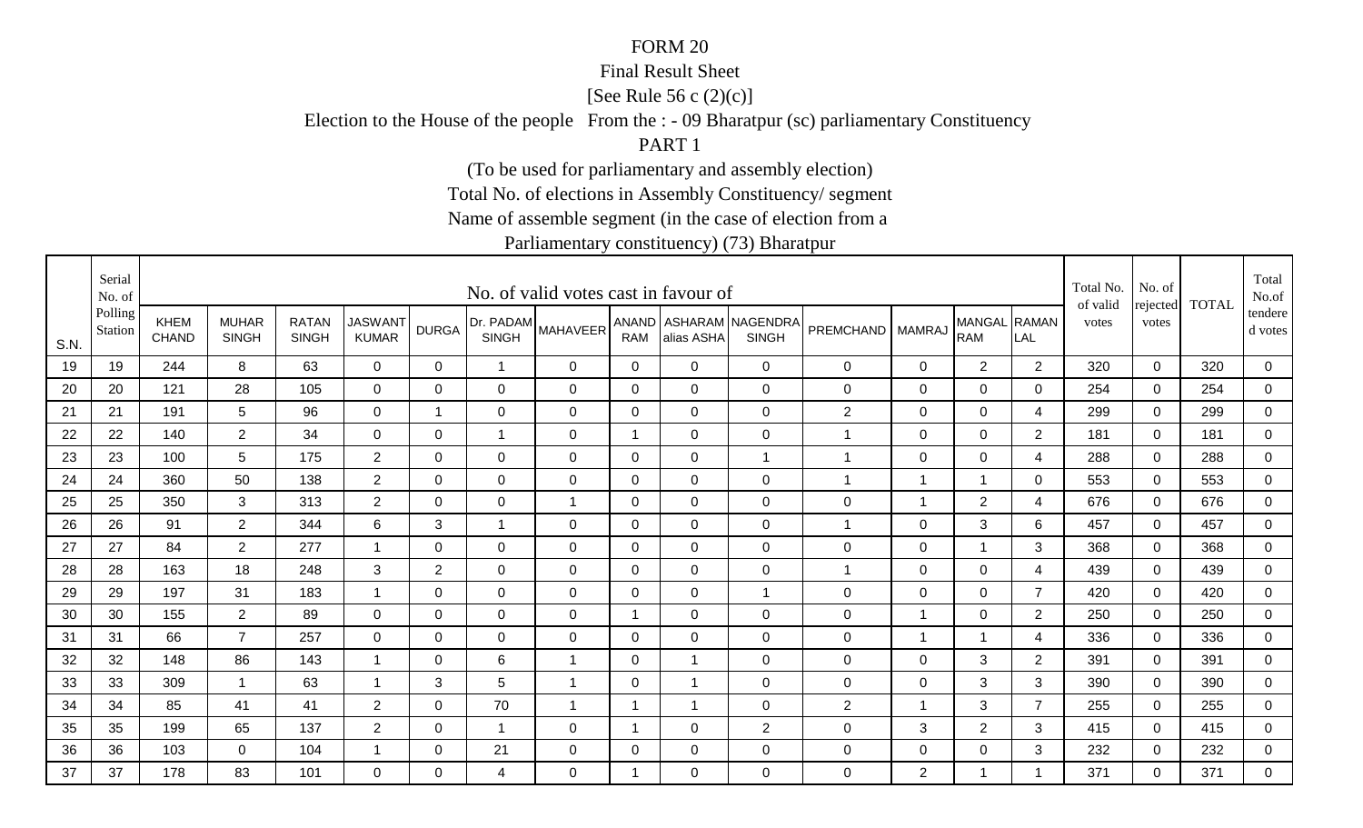#### Final Result Sheet

[See Rule 56 c (2)(c)]

Election to the House of the people From the : - 09 Bharatpur (sc) parliamentary Constituency

PART 1

(To be used for parliamentary and assembly election)

Total No. of elections in Assembly Constituency/ segment

Name of assemble segment (in the case of election from a

|      | Serial<br>No. of   |                             |                              |                              |                                |                |                           | No. of valid votes cast in favour of |              |                |                                        |                    |                |                            |                | Total No.<br>of valid | No. of            | <b>TOTAL</b> | Total<br>No.of     |
|------|--------------------|-----------------------------|------------------------------|------------------------------|--------------------------------|----------------|---------------------------|--------------------------------------|--------------|----------------|----------------------------------------|--------------------|----------------|----------------------------|----------------|-----------------------|-------------------|--------------|--------------------|
| S.N. | Polling<br>Station | <b>KHEM</b><br><b>CHAND</b> | <b>MUHAR</b><br><b>SINGH</b> | <b>RATAN</b><br><b>SINGH</b> | <b>JASWANT</b><br><b>KUMAR</b> | <b>DURGA</b>   | Dr. PADAM<br><b>SINGH</b> | <b>MAHAVEER</b>                      | <b>RAM</b>   | alias ASHA     | ANAND ASHARAM NAGENDRA<br><b>SINGH</b> | PREMCHAND   MAMRAJ |                | MANGAL RAMAN<br><b>RAM</b> | LAL            | votes                 | rejected<br>votes |              | tendere<br>d votes |
| 19   | 19                 | 244                         | 8                            | 63                           | $\mathbf 0$                    | 0              | $\mathbf{1}$              | $\mathbf 0$                          | $\mathbf 0$  | 0              | $\mathbf 0$                            | $\mathbf 0$        | $\mathbf 0$    | 2                          | 2              | 320                   | $\mathbf 0$       | 320          | $\mathbf 0$        |
| 20   | 20                 | 121                         | 28                           | 105                          | $\mathbf 0$                    | $\mathbf 0$    | $\mathbf 0$               | $\mathbf 0$                          | $\mathbf 0$  | $\mathbf 0$    | $\mathbf 0$                            | $\boldsymbol{0}$   | $\mathbf 0$    | $\pmb{0}$                  | 0              | 254                   | $\mathbf{0}$      | 254          | $\overline{0}$     |
| 21   | 21                 | 191                         | 5                            | 96                           | $\overline{0}$                 | $\mathbf 1$    | $\mathbf 0$               | $\mathbf 0$                          | $\mathbf 0$  | $\mathbf 0$    | $\mathbf 0$                            | $\overline{2}$     | $\mathbf 0$    | 0                          | 4              | 299                   | 0                 | 299          | 0                  |
| 22   | 22                 | 140                         | $\overline{2}$               | 34                           | $\mathbf 0$                    | 0              | 1                         | $\mathbf 0$                          | -1           | $\Omega$       | $\mathbf 0$                            | 1                  | $\mathbf 0$    | $\mathbf 0$                | $\overline{2}$ | 181                   | $\mathbf 0$       | 181          | $\mathbf 0$        |
| 23   | 23                 | 100                         | 5                            | 175                          | $\overline{2}$                 | $\Omega$       | 0                         | $\mathbf 0$                          | $\mathbf{0}$ | $\mathbf 0$    | $\overline{1}$                         | 1                  | $\mathbf 0$    | $\mathbf 0$                | 4              | 288                   | $\mathbf 0$       | 288          | $\overline{0}$     |
| 24   | 24                 | 360                         | 50                           | 138                          | $\overline{2}$                 | $\mathbf{0}$   | $\mathbf 0$               | $\mathbf 0$                          | 0            | $\overline{0}$ | $\mathbf 0$                            | $\mathbf 1$        | $\overline{1}$ | $\overline{1}$             | 0              | 553                   | $\mathbf 0$       | 553          | $\overline{0}$     |
| 25   | 25                 | 350                         | 3                            | 313                          | $\overline{2}$                 | $\Omega$       | $\mathbf 0$               | $\overline{1}$                       | $\mathbf{0}$ | $\Omega$       | $\mathbf 0$                            | 0                  | $\overline{1}$ | $\overline{2}$             | 4              | 676                   | $\Omega$          | 676          | 0                  |
| 26   | 26                 | 91                          | $\overline{2}$               | 344                          | 6                              | 3              | $\overline{1}$            | $\mathbf 0$                          | 0            | $\overline{0}$ | $\mathbf 0$                            | 1                  | $\mathbf 0$    | 3                          | 6              | 457                   | $\mathbf 0$       | 457          | 0                  |
| 27   | 27                 | 84                          | $\overline{2}$               | 277                          | -1                             | $\Omega$       | 0                         | $\mathbf 0$                          | 0            | $\overline{0}$ | $\mathbf 0$                            | $\mathbf 0$        | $\mathbf 0$    | 1                          | 3              | 368                   | $\mathbf 0$       | 368          | $\mathbf 0$        |
| 28   | 28                 | 163                         | 18                           | 248                          | 3                              | $\overline{2}$ | $\mathbf 0$               | $\mathbf 0$                          | $\mathbf 0$  | $\mathbf 0$    | $\mathbf 0$                            | $\mathbf{1}$       | $\mathbf 0$    | $\mathbf 0$                | 4              | 439                   | $\mathbf 0$       | 439          | $\overline{0}$     |
| 29   | 29                 | 197                         | 31                           | 183                          | -1                             | 0              | $\mathbf 0$               | $\mathbf 0$                          | $\mathbf 0$  | $\mathbf 0$    | $\overline{1}$                         | $\mathsf 0$        | $\mathbf 0$    | $\mathbf 0$                | $\overline{7}$ | 420                   | $\mathbf 0$       | 420          | $\overline{0}$     |
| 30   | 30                 | 155                         | $2^{\circ}$                  | 89                           | $\Omega$                       | $\Omega$       | 0                         | $\Omega$                             | $\mathbf 1$  | $\Omega$       | $\mathbf 0$                            | 0                  | $\overline{1}$ | $\mathbf 0$                | $\overline{2}$ | 250                   | $\Omega$          | 250          | 0                  |
| 31   | 31                 | 66                          | $\overline{7}$               | 257                          | 0                              | $\Omega$       | 0                         | $\Omega$                             | $\mathbf{0}$ | $\Omega$       | $\mathbf 0$                            | $\mathbf 0$        | $\overline{1}$ |                            | 4              | 336                   | $\Omega$          | 336          | $\mathbf 0$        |
| 32   | 32                 | 148                         | 86                           | 143                          | $\overline{1}$                 | 0              | 6                         | $\overline{1}$                       | 0            |                | $\mathbf 0$                            | 0                  | 0              | 3                          | $\overline{2}$ | 391                   | $\Omega$          | 391          | $\mathbf 0$        |
| 33   | 33                 | 309                         | $\mathbf{1}$                 | 63                           | $\overline{1}$                 | 3              | 5                         | $\mathbf{1}$                         | 0            |                | $\mathbf 0$                            | $\mathbf 0$        | $\mathbf 0$    | 3                          | 3              | 390                   | $\mathbf 0$       | 390          | 0                  |
| 34   | 34                 | 85                          | 41                           | 41                           | $\overline{2}$                 | 0              | 70                        | $\overline{1}$                       | -1           |                | $\mathbf 0$                            | $\mathbf{2}$       | $\overline{1}$ | 3                          | $\overline{7}$ | 255                   | $\mathbf 0$       | 255          | $\mathbf 0$        |
| 35   | 35                 | 199                         | 65                           | 137                          | $\overline{2}$                 | $\Omega$       | $\overline{1}$            | 0                                    | -1           | $\Omega$       | 2                                      | $\mathbf 0$        | 3              | $\overline{2}$             | 3              | 415                   | $\Omega$          | 415          | 0                  |
| 36   | 36                 | 103                         | $\mathbf 0$                  | 104                          | -1                             | 0              | 21                        | 0                                    | $\mathbf 0$  | 0              | $\mathbf 0$                            | $\mathbf 0$        | $\mathbf 0$    | $\mathbf 0$                | 3              | 232                   | 0                 | 232          | $\overline{0}$     |
| 37   | 37                 | 178                         | 83                           | 101                          | 0                              | $\Omega$       | 4                         | 0                                    | -1           | $\Omega$       | $\mathbf 0$                            | 0                  | 2              | 1                          |                | 371                   | $\Omega$          | 371          | $\mathbf 0$        |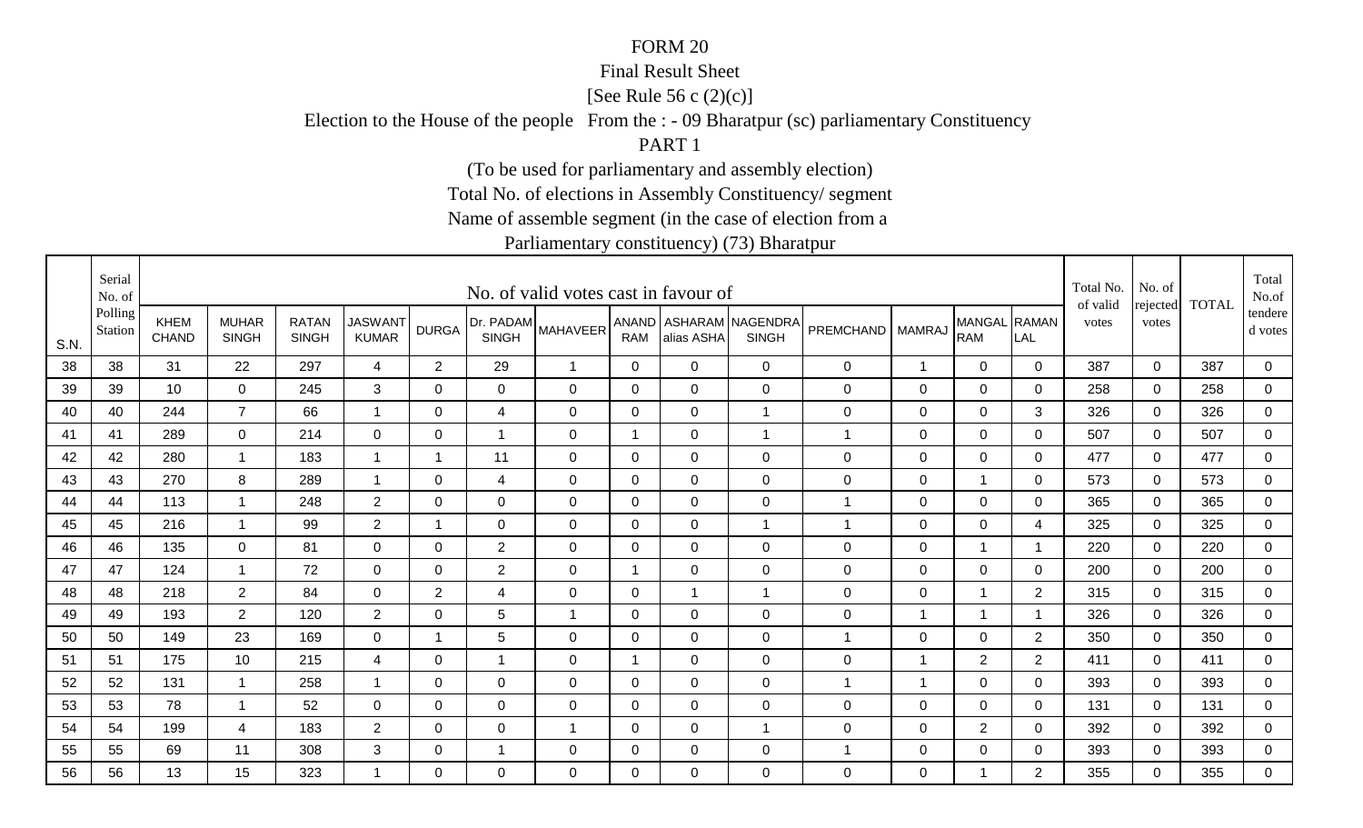#### Final Result Sheet

[See Rule 56 c (2)(c)]

Election to the House of the people From the : - 09 Bharatpur (sc) parliamentary Constituency

PART 1

(To be used for parliamentary and assembly election)

Total No. of elections in Assembly Constituency/ segment

Name of assemble segment (in the case of election from a

|      | Serial<br>No. of   |                             |                              |                              |                                |                |                           | No. of valid votes cast in favour of |                |                |                                        |                    |                |                            |                          | Total No.<br>of valid | No. of<br>rejected | <b>TOTAL</b> | Total<br>No.of       |
|------|--------------------|-----------------------------|------------------------------|------------------------------|--------------------------------|----------------|---------------------------|--------------------------------------|----------------|----------------|----------------------------------------|--------------------|----------------|----------------------------|--------------------------|-----------------------|--------------------|--------------|----------------------|
| S.N. | Polling<br>Station | <b>KHEM</b><br><b>CHAND</b> | <b>MUHAR</b><br><b>SINGH</b> | <b>RATAN</b><br><b>SINGH</b> | <b>JASWANT</b><br><b>KUMAR</b> | <b>DURGA</b>   | Dr. PADAM<br><b>SINGH</b> | <b>MAHAVEER</b>                      | <b>RAM</b>     | alias ASHA     | ANAND ASHARAM NAGENDRA<br><b>SINGH</b> | PREMCHAND   MAMRAJ |                | MANGAL RAMAN<br><b>RAM</b> | LAL                      | votes                 | votes              |              | tendere  <br>d votes |
| 38   | 38                 | 31                          | 22                           | 297                          | $\overline{4}$                 | 2              | 29                        | $\overline{1}$                       | $\Omega$       | $\Omega$       | $\mathbf 0$                            | $\mathbf 0$        | $\overline{1}$ | $\mathbf 0$                | $\Omega$                 | 387                   | $\mathbf 0$        | 387          | $\mathbf 0$          |
| 39   | 39                 | 10                          | $\mathbf 0$                  | 245                          | 3                              | 0              | 0                         | $\mathbf 0$                          | 0              | $\mathbf 0$    | $\mathbf 0$                            | $\mathbf 0$        | $\overline{0}$ | $\mathbf 0$                | 0                        | 258                   | $\Omega$           | 258          | $\mathbf 0$          |
| 40   | 40                 | 244                         | $\overline{7}$               | 66                           | $\overline{1}$                 | 0              | 4                         | 0                                    | 0              | $\mathbf 0$    | $\mathbf 1$                            | $\mathbf 0$        | 0              | 0                          | 3                        | 326                   | 0                  | 326          | 0                    |
| 41   | 41                 | 289                         | 0                            | 214                          | 0                              | 0              | $\mathbf 1$               | 0                                    | -1             | $\mathbf 0$    |                                        | 1                  | 0              | $\mathbf 0$                | 0                        | 507                   | $\mathbf{0}$       | 507          | 0                    |
| 42   | 42                 | 280                         | $\overline{1}$               | 183                          | $\overline{\mathbf{1}}$        | $\overline{1}$ | 11                        | $\mathbf 0$                          | $\Omega$       | $\Omega$       | $\mathbf 0$                            | $\pmb{0}$          | $\mathbf 0$    | $\overline{0}$             | $\Omega$                 | 477                   | $\Omega$           | 477          | $\overline{0}$       |
| 43   | 43                 | 270                         | 8                            | 289                          | $\overline{ }$                 | $\mathbf 0$    | $\overline{4}$            | $\mathbf 0$                          | $\mathbf 0$    | $\mathbf 0$    | $\mathbf 0$                            | $\pmb{0}$          | $\mathbf 0$    | $\overline{1}$             | $\mathbf 0$              | 573                   | $\mathbf 0$        | 573          | $\overline{0}$       |
| 44   | 44                 | 113                         | $\overline{\mathbf{1}}$      | 248                          | $\overline{2}$                 | $\mathbf 0$    | $\mathbf 0$               | $\mathbf 0$                          | $\mathbf 0$    | $\mathbf 0$    | $\mathbf 0$                            | 1                  | $\overline{0}$ | $\mathbf 0$                | $\Omega$                 | 365                   | $\mathbf 0$        | 365          | $\mathbf 0$          |
| 45   | 45                 | 216                         | $\overline{1}$               | 99                           | $\overline{2}$                 | 1              | $\mathbf 0$               | $\mathbf 0$                          | $\overline{0}$ | $\overline{0}$ | $\mathbf{1}$                           | 1                  | $\mathbf 0$    | $\mathbf 0$                | 4                        | 325                   | $\mathbf 0$        | 325          | $\mathbf 0$          |
| 46   | 46                 | 135                         | $\mathbf 0$                  | 81                           | $\overline{0}$                 | $\Omega$       | $\overline{2}$            | $\mathbf 0$                          | 0              | $\overline{0}$ | $\mathbf 0$                            | $\mathbf 0$        | $\mathbf 0$    | 1                          |                          | 220                   | $\mathbf 0$        | 220          | $\mathbf 0$          |
| 47   | 47                 | 124                         | $\overline{1}$               | 72                           | $\mathbf 0$                    | $\Omega$       | 2                         | $\mathbf 0$                          | $\overline{1}$ | $\mathbf 0$    | $\mathbf 0$                            | $\pmb{0}$          | $\mathbf 0$    | $\mathbf 0$                | $\Omega$                 | 200                   | $\mathbf 0$        | 200          | $\overline{0}$       |
| 48   | 48                 | 218                         | $\overline{2}$               | 84                           | $\mathbf 0$                    | 2              | 4                         | $\mathbf 0$                          | 0              | $\overline{1}$ | $\overline{1}$                         | 0                  | $\mathbf 0$    | $\overline{1}$             | $\overline{2}$           | 315                   | 0                  | 315          | $\mathbf 0$          |
| 49   | 49                 | 193                         | $\overline{2}$               | 120                          | $\overline{2}$                 | 0              | 5                         | $\overline{1}$                       | 0              | $\mathbf 0$    | $\mathbf 0$                            | $\pmb{0}$          | -1             | $\overline{\mathbf{1}}$    | $\overline{\phantom{a}}$ | 326                   | $\mathbf 0$        | 326          | 0                    |
| 50   | 50                 | 149                         | 23                           | 169                          | $\overline{0}$                 | 1              | 5                         | $\mathbf 0$                          | 0              | $\mathbf 0$    | $\mathbf 0$                            | 1                  | $\mathbf 0$    | $\mathbf 0$                | $\overline{2}$           | 350                   | $\mathbf 0$        | 350          | $\overline{0}$       |
| 51   | 51                 | 175                         | 10                           | 215                          | 4                              | 0              | 1                         | $\mathbf 0$                          | -1             | $\mathbf 0$    | $\mathbf 0$                            | $\pmb{0}$          | -1             | $\overline{2}$             | $\overline{2}$           | 411                   | $\mathbf{0}$       | 411          | 0                    |
| 52   | 52                 | 131                         | $\overline{1}$               | 258                          |                                | $\mathbf 0$    | $\mathbf 0$               | $\mathbf 0$                          | $\mathbf 0$    | $\mathbf 0$    | $\mathbf 0$                            | 1                  | $\overline{1}$ | $\mathbf 0$                | $\mathbf 0$              | 393                   | $\mathbf 0$        | 393          | $\mathbf 0$          |
| 53   | 53                 | 78                          | -1                           | 52                           | $\mathbf 0$                    | 0              | $\mathbf 0$               | $\mathbf 0$                          | 0              | $\overline{0}$ | $\mathbf 0$                            | $\mathbf 0$        | $\mathbf 0$    | $\mathbf 0$                | 0                        | 131                   | $\Omega$           | 131          | $\overline{0}$       |
| 54   | 54                 | 199                         | 4                            | 183                          | $\overline{2}$                 | 0              | $\mathbf 0$               | -1                                   | 0              | $\overline{0}$ | 1                                      | $\mathbf 0$        | $\mathbf 0$    | $\overline{2}$             | 0                        | 392                   | $\mathbf 0$        | 392          | 0                    |
| 55   | 55                 | 69                          | 11                           | 308                          | 3                              | 0              | -1                        | $\mathbf 0$                          | 0              | $\mathbf 0$    | $\mathbf 0$                            | 1                  | $\mathbf 0$    | $\mathbf 0$                | 0                        | 393                   | $\mathbf 0$        | 393          | $\overline{0}$       |
| 56   | 56                 | 13                          | 15                           | 323                          |                                | $\Omega$       | $\mathbf{0}$              | $\Omega$                             | $\Omega$       | $\Omega$       | 0                                      | $\mathbf 0$        | $\mathbf{0}$   | 1                          | $\overline{2}$           | 355                   | $\Omega$           | 355          | $\overline{0}$       |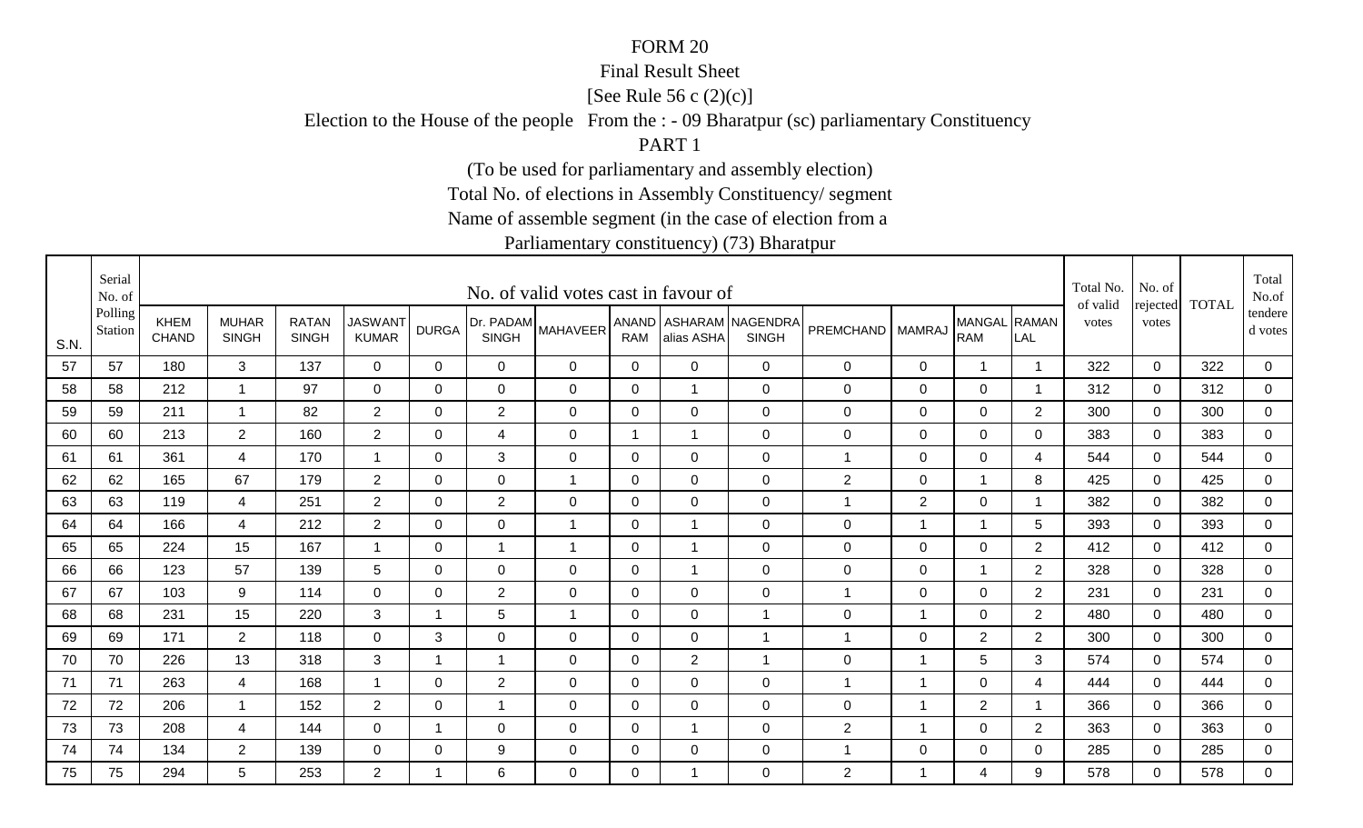#### Final Result Sheet

[See Rule 56 c (2)(c)]

Election to the House of the people From the : - 09 Bharatpur (sc) parliamentary Constituency

PART 1

(To be used for parliamentary and assembly election)

Total No. of elections in Assembly Constituency/ segment

Name of assemble segment (in the case of election from a

|      | Serial<br>No. of   |                             |                              |                              |                                |              |                           | No. of valid votes cast in favour of |              |                |                                        |                    |                |                            |                | Total No.<br>of valid | No. of<br>rejected | <b>TOTAL</b> | Total<br>No.of       |
|------|--------------------|-----------------------------|------------------------------|------------------------------|--------------------------------|--------------|---------------------------|--------------------------------------|--------------|----------------|----------------------------------------|--------------------|----------------|----------------------------|----------------|-----------------------|--------------------|--------------|----------------------|
| S.N. | Polling<br>Station | <b>KHEM</b><br><b>CHAND</b> | <b>MUHAR</b><br><b>SINGH</b> | <b>RATAN</b><br><b>SINGH</b> | <b>JASWANT</b><br><b>KUMAR</b> | <b>DURGA</b> | Dr. PADAM<br><b>SINGH</b> | <b>MAHAVEER</b>                      | <b>RAM</b>   | alias ASHA     | ANAND ASHARAM NAGENDRA<br><b>SINGH</b> | PREMCHAND   MAMRAJ |                | MANGAL RAMAN<br><b>RAM</b> | LAL            | votes                 | votes              |              | tendere  <br>d votes |
| 57   | 57                 | 180                         | 3                            | 137                          | $\mathbf 0$                    | $\mathbf{0}$ | 0                         | 0                                    | $\mathbf 0$  | $\Omega$       | $\mathbf 0$                            | $\mathbf 0$        | 0              | $\mathbf 1$                | -1             | 322                   | $\mathbf 0$        | 322          | $\overline{0}$       |
| 58   | 58                 | 212                         | $\mathbf{1}$                 | 97                           | $\mathbf 0$                    | $\Omega$     | 0                         | $\mathbf 0$                          | 0            |                | $\mathbf 0$                            | 0                  | 0              | 0                          | - 1            | 312                   | 0                  | 312          | $\overline{0}$       |
| 59   | 59                 | 211                         | $\mathbf{1}$                 | 82                           | $\overline{2}$                 | 0            | $\overline{2}$            | 0                                    | 0            | 0              | $\mathbf 0$                            | $\mathbf 0$        | 0              | 0                          | $\overline{2}$ | 300                   | 0                  | 300          | 0                    |
| 60   | 60                 | 213                         | $\overline{2}$               | 160                          | $\overline{2}$                 | 0            | 4                         | 0                                    | -1           |                | $\mathbf 0$                            | $\mathbf 0$        | 0              | $\mathbf 0$                | 0              | 383                   | $\Omega$           | 383          | 0                    |
| 61   | 61                 | 361                         | $\overline{4}$               | 170                          | $\overline{1}$                 | $\Omega$     | 3                         | $\mathbf 0$                          | $\mathbf 0$  | $\Omega$       | $\mathbf 0$                            | 1                  | $\mathbf 0$    | $\mathbf 0$                | 4              | 544                   | $\Omega$           | 544          | $\overline{0}$       |
| 62   | 62                 | 165                         | 67                           | 179                          | $\overline{2}$                 | $\mathbf 0$  | $\mathbf 0$               | $\overline{1}$                       | $\mathbf 0$  | $\overline{0}$ | $\mathbf 0$                            | $\overline{2}$     | $\mathbf 0$    | $\overline{1}$             | 8              | 425                   | $\mathbf 0$        | 425          | $\overline{0}$       |
| 63   | 63                 | 119                         | $\overline{4}$               | 251                          | $\overline{2}$                 | $\mathbf 0$  | $\overline{2}$            | $\mathbf 0$                          | $\mathbf 0$  | $\Omega$       | $\mathbf 0$                            | 1                  | $\overline{2}$ | $\mathbf 0$                | -1             | 382                   | $\overline{0}$     | 382          | 0                    |
| 64   | 64                 | 166                         | 4                            | 212                          | $\overline{2}$                 | 0            | $\mathbf 0$               | $\mathbf 1$                          | 0            |                | $\mathbf 0$                            | 0                  | $\mathbf 1$    | $\mathbf 1$                | 5              | 393                   | $\mathbf 0$        | 393          | $\mathbf 0$          |
| 65   | 65                 | 224                         | 15                           | 167                          | -1                             | $\Omega$     | 1                         | $\mathbf{1}$                         | 0            |                | $\mathbf 0$                            | $\mathbf 0$        | $\mathbf 0$    | $\mathbf 0$                | $\overline{2}$ | 412                   | $\mathbf 0$        | 412          | 0                    |
| 66   | 66                 | 123                         | 57                           | 139                          | 5                              | $\Omega$     | $\mathbf 0$               | $\mathbf 0$                          | $\mathbf 0$  |                | $\mathbf 0$                            | 0                  | $\mathbf 0$    | $\overline{1}$             | 2              | 328                   | $\mathbf 0$        | 328          | $\overline{0}$       |
| 67   | 67                 | 103                         | 9                            | 114                          | $\mathbf 0$                    | 0            | $\overline{2}$            | $\mathbf 0$                          | $\mathbf 0$  | $\mathbf 0$    | $\mathbf 0$                            | $\mathbf{1}$       | 0              | $\mathbf 0$                | $\overline{2}$ | 231                   | 0                  | 231          | $\mathbf 0$          |
| 68   | 68                 | 231                         | 15                           | 220                          | 3                              | $\mathbf 1$  | 5                         | $\overline{1}$                       | 0            | $\overline{0}$ | $\overline{1}$                         | $\mathbf 0$        | $\overline{1}$ | 0                          | $\overline{2}$ | 480                   | $\mathbf 0$        | 480          | 0                    |
| 69   | 69                 | 171                         | $\overline{2}$               | 118                          | $\overline{0}$                 | 3            | $\mathbf 0$               | $\mathbf 0$                          | 0            | 0              | $\overline{1}$                         | 1                  | $\mathbf 0$    | $\overline{2}$             | $\overline{2}$ | 300                   | $\mathbf 0$        | 300          | $\overline{0}$       |
| 70   | 70                 | 226                         | 13                           | 318                          | 3                              | $\mathbf 1$  | $\overline{1}$            | $\mathbf 0$                          | $\mathbf{0}$ | $\overline{2}$ | $\overline{1}$                         | $\mathbf 0$        | -1             | 5                          | 3              | 574                   | $\Omega$           | 574          | 0                    |
| 71   | 71                 | 263                         | $\overline{4}$               | 168                          | $\overline{1}$                 | $\mathbf 0$  | $\overline{2}$            | $\mathbf 0$                          | $\mathbf 0$  | $\mathbf 0$    | $\mathbf 0$                            | 1                  | $\overline{1}$ | $\mathbf 0$                | 4              | 444                   | $\overline{0}$     | 444          | $\overline{0}$       |
| 72   | 72                 | 206                         | $\mathbf 1$                  | 152                          | $\overline{2}$                 | 0            | $\mathbf 1$               | $\mathbf 0$                          | 0            | 0              | $\mathbf 0$                            | $\mathbf 0$        | $\overline{1}$ | $\overline{2}$             | - 1            | 366                   | $\Omega$           | 366          | $\mathbf 0$          |
| 73   | 73                 | 208                         | 4                            | 144                          | $\mathbf 0$                    | $\mathbf 1$  | $\mathbf 0$               | $\mathbf 0$                          | $\mathbf 0$  |                | $\mathbf 0$                            | $\mathbf{2}$       | -1             | $\mathbf 0$                | $\overline{2}$ | 363                   | $\mathbf 0$        | 363          | 0                    |
| 74   | 74                 | 134                         | $\overline{2}$               | 139                          | $\mathbf 0$                    | 0            | 9                         | $\mathbf 0$                          | 0            | 0              | $\mathbf 0$                            | 1                  | $\mathbf 0$    | $\mathbf 0$                | 0              | 285                   | $\mathbf 0$        | 285          | $\overline{0}$       |
| 75   | 75                 | 294                         | 5                            | 253                          | $\overline{2}$                 | -1           | 6                         | $\Omega$                             | $\Omega$     |                | $\mathbf 0$                            | $\overline{2}$     | $\overline{1}$ | $\overline{4}$             | 9              | 578                   | $\Omega$           | 578          | $\mathbf 0$          |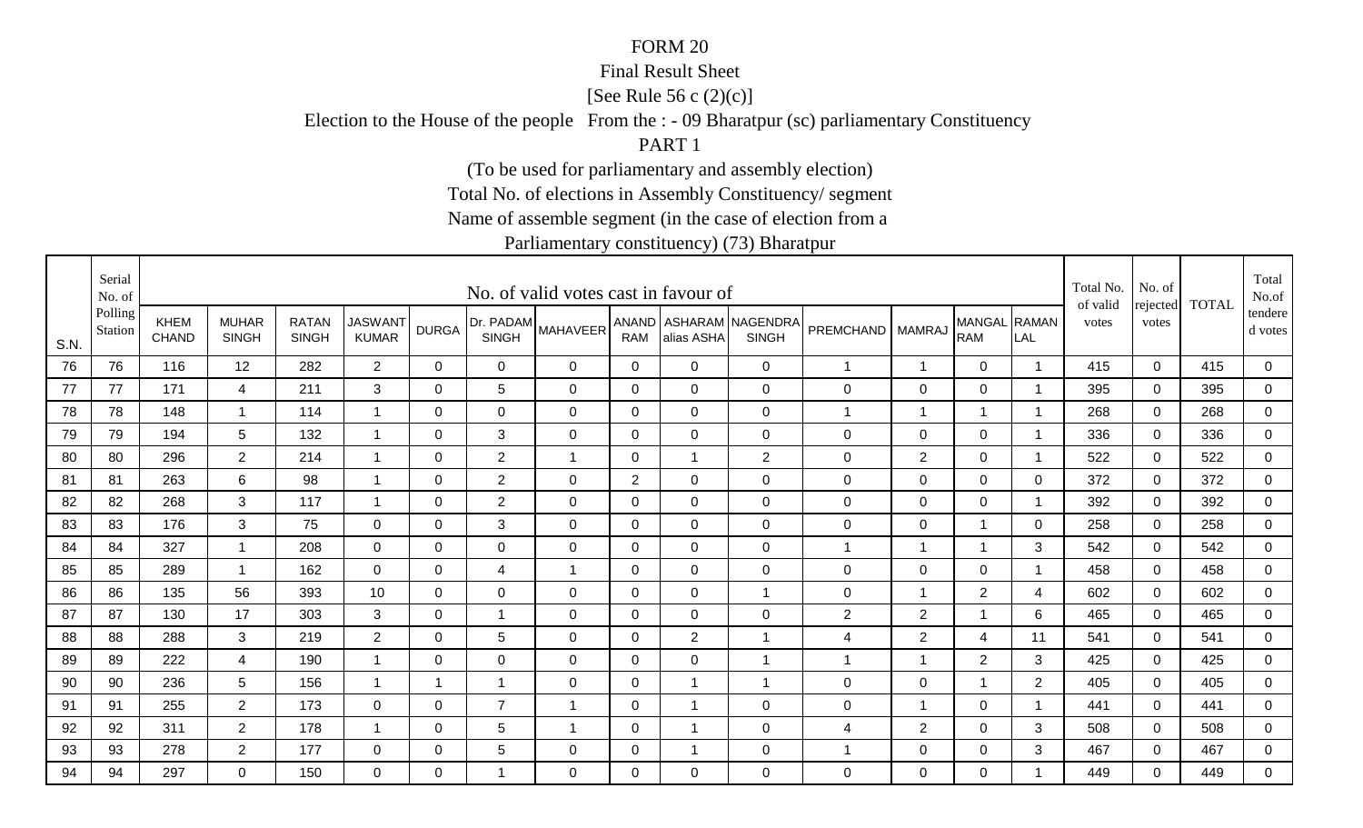#### Final Result Sheet

[See Rule 56 c (2)(c)]

Election to the House of the people From the : - 09 Bharatpur (sc) parliamentary Constituency

PART 1

(To be used for parliamentary and assembly election)

Total No. of elections in Assembly Constituency/ segment

Name of assemble segment (in the case of election from a

|      | Serial<br>No. of   |                             |                              |                              |                                |                |                           | No. of valid votes cast in favour of |                |                |                                        |                    |                |                            |                         | Total No.<br>of valid | No. of<br>rejected | <b>TOTAL</b> | Total<br>No.of       |
|------|--------------------|-----------------------------|------------------------------|------------------------------|--------------------------------|----------------|---------------------------|--------------------------------------|----------------|----------------|----------------------------------------|--------------------|----------------|----------------------------|-------------------------|-----------------------|--------------------|--------------|----------------------|
| S.N. | Polling<br>Station | <b>KHEM</b><br><b>CHAND</b> | <b>MUHAR</b><br><b>SINGH</b> | <b>RATAN</b><br><b>SINGH</b> | <b>JASWANT</b><br><b>KUMAR</b> | <b>DURGA</b>   | Dr. PADAM<br><b>SINGH</b> | <b>MAHAVEER</b>                      | <b>RAM</b>     | alias ASHA     | ANAND ASHARAM NAGENDRA<br><b>SINGH</b> | PREMCHAND   MAMRAJ |                | MANGAL RAMAN<br><b>RAM</b> | LAL                     | votes                 | votes              |              | tendere  <br>d votes |
| 76   | 76                 | 116                         | 12                           | 282                          | $2^{\circ}$                    | $\mathbf{0}$   | 0                         | 0                                    | $\mathbf 0$    | $\Omega$       | $\mathbf 0$                            | $\mathbf{1}$       | $\mathbf{1}$   | $\mathbf 0$                | -1                      | 415                   | $\mathbf 0$        | 415          | 0                    |
| 77   | 77                 | 171                         | 4                            | 211                          | 3                              | $\Omega$       | 5                         | 0                                    | 0              | $\Omega$       | $\mathbf 0$                            | 0                  | 0              | 0                          | - 1                     | 395                   | 0                  | 395          | $\mathbf 0$          |
| 78   | 78                 | 148                         | $\mathbf{1}$                 | 114                          | -1                             | 0              | $\mathbf 0$               | 0                                    | 0              | 0              | $\mathbf 0$                            | 1                  | -1             | $\mathbf 1$                | -1                      | 268                   | 0                  | 268          | 0                    |
| 79   | 79                 | 194                         | 5                            | 132                          | -1                             | 0              | 3                         | 0                                    | 0              | $\Omega$       | $\mathbf 0$                            | $\mathbf 0$        | 0              | 0                          | $\overline{\mathbf{1}}$ | 336                   | $\Omega$           | 336          | 0                    |
| 80   | 80                 | 296                         | $2^{\circ}$                  | 214                          | $\overline{1}$                 | $\mathbf 0$    | $\overline{2}$            | $\mathbf{1}$                         | $\mathbf 0$    |                | 2                                      | $\boldsymbol{0}$   | 2              | $\mathbf 0$                | -1                      | 522                   | $\Omega$           | 522          | $\overline{0}$       |
| 81   | 81                 | 263                         | 6                            | 98                           | $\overline{1}$                 | $\mathbf 0$    | $\overline{2}$            | $\mathbf 0$                          | $\overline{2}$ | $\overline{0}$ | $\mathbf 0$                            | $\boldsymbol{0}$   | $\mathbf 0$    | $\overline{0}$             | $\mathbf 0$             | 372                   | $\mathbf 0$        | 372          | $\overline{0}$       |
| 82   | 82                 | 268                         | 3                            | 117                          |                                | $\mathbf 0$    | $\overline{2}$            | $\mathbf 0$                          | $\mathbf 0$    | $\mathbf 0$    | $\mathbf 0$                            | $\boldsymbol{0}$   | $\mathbf 0$    | $\mathbf 0$                | - 1                     | 392                   | $\overline{0}$     | 392          | 0                    |
| 83   | 83                 | 176                         | 3                            | 75                           | $\overline{0}$                 | 0              | 3                         | $\mathbf 0$                          | 0              | $\overline{0}$ | $\mathbf 0$                            | $\pmb{0}$          | $\mathbf 0$    | $\mathbf 1$                | 0                       | 258                   | $\mathbf 0$        | 258          | $\mathbf 0$          |
| 84   | 84                 | 327                         | 1                            | 208                          | $\mathbf 0$                    | $\Omega$       | $\mathbf 0$               | $\mathbf 0$                          | 0              | $\overline{0}$ | $\mathbf 0$                            | 1                  | -1             | 1                          | 3                       | 542                   | $\mathbf 0$        | 542          | 0                    |
| 85   | 85                 | 289                         | $\mathbf{1}$                 | 162                          | $\overline{0}$                 | $\Omega$       | 4                         | $\overline{1}$                       | $\mathbf 0$    | $\mathbf 0$    | $\mathbf 0$                            | 0                  | $\mathbf 0$    | $\mathbf 0$                | $\overline{\mathbf{1}}$ | 458                   | $\mathbf 0$        | 458          | $\overline{0}$       |
| 86   | 86                 | 135                         | 56                           | 393                          | 10                             | 0              | $\mathbf 0$               | $\mathbf 0$                          | $\mathbf 0$    | 0              | $\overline{1}$                         | $\mathbf 0$        | $\overline{1}$ | 2                          | 4                       | 602                   | 0                  | 602          | $\mathbf 0$          |
| 87   | 87                 | 130                         | 17                           | 303                          | 3                              | 0              | $\overline{1}$            | $\mathbf 0$                          | 0              | $\overline{0}$ | $\mathbf 0$                            | $\mathbf{2}$       | $\overline{2}$ | 1                          | 6                       | 465                   | $\Omega$           | 465          | 0                    |
| 88   | 88                 | 288                         | 3                            | 219                          | $\overline{2}$                 | 0              | 5                         | $\mathbf 0$                          | 0              | $\overline{2}$ | $\overline{1}$                         | 4                  | $\overline{2}$ | $\overline{4}$             | 11                      | 541                   | $\mathbf 0$        | 541          | $\overline{0}$       |
| 89   | 89                 | 222                         | 4                            | 190                          | -1                             | $\Omega$       | $\mathbf 0$               | $\mathbf 0$                          | $\mathbf{0}$   | 0              | $\overline{1}$                         | $\mathbf{1}$       | -1             | $\overline{2}$             | 3                       | 425                   | $\Omega$           | 425          | 0                    |
| 90   | 90                 | 236                         | 5                            | 156                          | $\overline{1}$                 | $\overline{1}$ | $\overline{1}$            | $\mathbf 0$                          | $\mathbf 0$    |                | $\overline{1}$                         | $\mathsf 0$        | $\mathbf 0$    | 1                          | $\overline{2}$          | 405                   | $\overline{0}$     | 405          | $\mathbf 0$          |
| 91   | 91                 | 255                         | $\overline{2}$               | 173                          | 0                              | 0              | $\overline{7}$            | $\overline{1}$                       | 0              |                | $\mathbf 0$                            | $\mathbf 0$        | $\overline{1}$ | 0                          | - 1                     | 441                   | $\Omega$           | 441          | $\mathbf 0$          |
| 92   | 92                 | 311                         | $\overline{2}$               | 178                          |                                | 0              | 5                         | -1                                   | $\mathbf 0$    |                | $\mathbf 0$                            | 4                  | $\overline{2}$ | $\mathbf 0$                | 3                       | 508                   | $\mathbf 0$        | 508          | 0                    |
| 93   | 93                 | 278                         | $\overline{2}$               | 177                          | $\mathbf 0$                    | 0              | 5                         | 0                                    | 0              |                | $\mathbf 0$                            | 1                  | $\mathbf 0$    | $\mathbf 0$                | 3                       | 467                   | $\mathbf 0$        | 467          | $\overline{0}$       |
| 94   | 94                 | 297                         | $\Omega$                     | 150                          | $\Omega$                       | $\Omega$       | 1                         | $\Omega$                             | $\Omega$       | $\Omega$       | $\mathbf 0$                            | 0                  | $\Omega$       | 0                          | -1                      | 449                   | $\Omega$           | 449          | $\mathbf 0$          |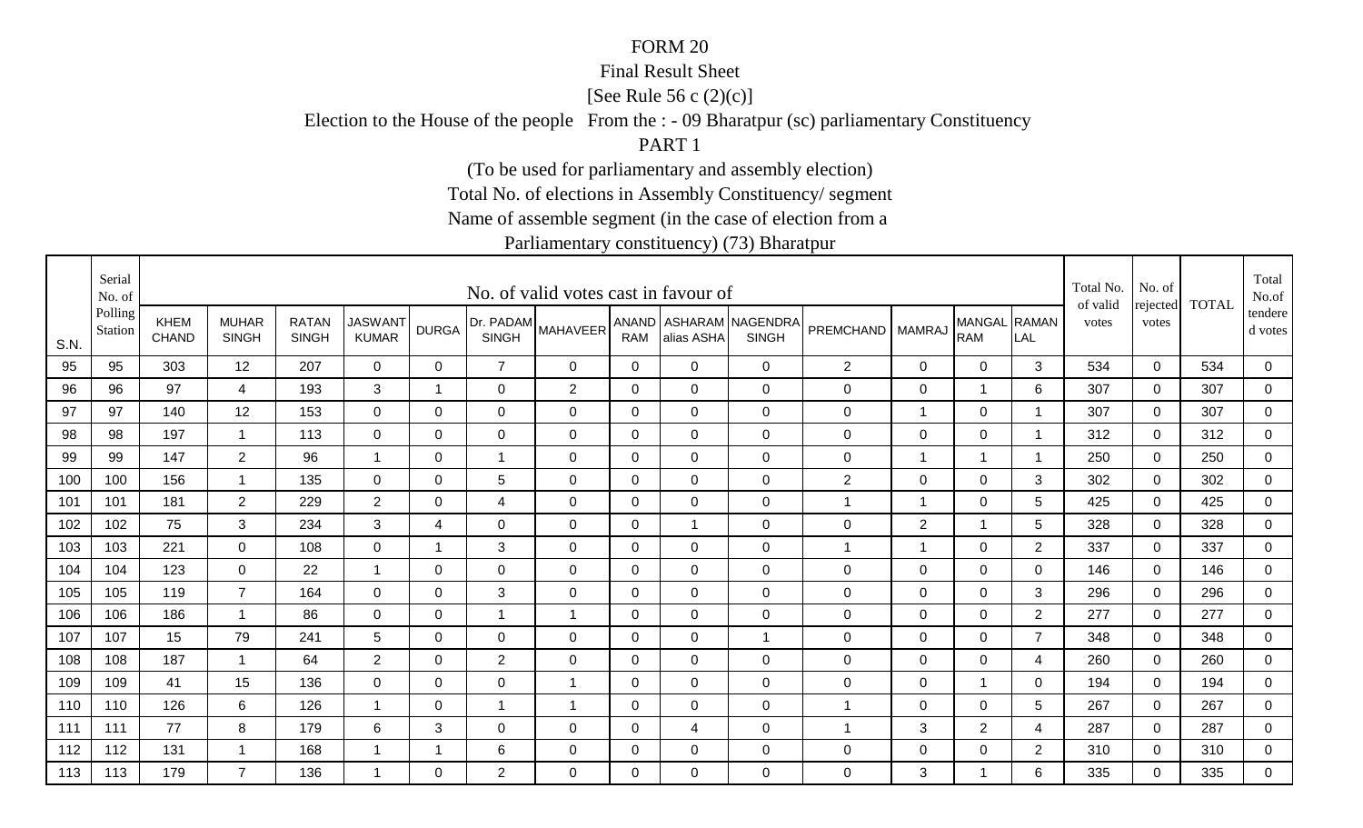#### Final Result Sheet

[See Rule 56 c (2)(c)]

Election to the House of the people From the : - 09 Bharatpur (sc) parliamentary Constituency

PART 1

(To be used for parliamentary and assembly election)

Total No. of elections in Assembly Constituency/ segment

Name of assemble segment (in the case of election from a

|      | Serial<br>No. of   |                             |                              |                              |                                |                |                           | No. of valid votes cast in favour of |              |                |                                        |                  |                |                            |                         | Total No.<br>of valid | No. of            | <b>TOTAL</b> | Total<br>No.of     |
|------|--------------------|-----------------------------|------------------------------|------------------------------|--------------------------------|----------------|---------------------------|--------------------------------------|--------------|----------------|----------------------------------------|------------------|----------------|----------------------------|-------------------------|-----------------------|-------------------|--------------|--------------------|
| S.N. | Polling<br>Station | <b>KHEM</b><br><b>CHAND</b> | <b>MUHAR</b><br><b>SINGH</b> | <b>RATAN</b><br><b>SINGH</b> | <b>JASWANT</b><br><b>KUMAR</b> | <b>DURGA</b>   | Dr. PADAM<br><b>SINGH</b> | <b>MAHAVEER</b>                      | <b>RAM</b>   | alias ASHA     | ANAND ASHARAM NAGENDRA<br><b>SINGH</b> | PREMCHAND        | <b>MAMRAJ</b>  | MANGAL RAMAN<br><b>RAM</b> | LAL                     | votes                 | rejected<br>votes |              | tendere<br>d votes |
| 95   | 95                 | 303                         | 12                           | 207                          | $\mathbf 0$                    | 0              | $\overline{7}$            | 0                                    | 0            | 0              | $\mathbf 0$                            | $\overline{2}$   | $\mathbf 0$    | $\overline{0}$             | 3                       | 534                   | $\mathbf 0$       | 534          | $\mathbf 0$        |
| 96   | 96                 | 97                          | $\overline{4}$               | 193                          | 3                              | $\overline{1}$ | $\mathbf 0$               | $\overline{2}$                       | $\mathbf 0$  | $\mathbf 0$    | $\mathbf 0$                            | $\mathsf 0$      | $\mathbf 0$    |                            | 6                       | 307                   | $\overline{0}$    | 307          | $\overline{0}$     |
| 97   | 97                 | 140                         | 12                           | 153                          | $\overline{0}$                 | 0              | $\mathbf 0$               | $\mathbf 0$                          | $\mathbf 0$  | $\mathbf 0$    | $\mathbf 0$                            | 0                | $\overline{1}$ | 0                          | -1                      | 307                   | 0                 | 307          | 0                  |
| 98   | 98                 | 197                         | $\mathbf{1}$                 | 113                          | $\mathbf 0$                    | 0              | 0                         | $\mathbf 0$                          | 0            | $\Omega$       | $\mathbf 0$                            | $\mathbf 0$      | $\mathbf 0$    | $\mathbf 0$                |                         | 312                   | $\overline{0}$    | 312          | $\mathbf 0$        |
| 99   | 99                 | 147                         | $\overline{2}$               | 96                           | $\overline{1}$                 | $\Omega$       | $\mathbf{1}$              | $\mathbf 0$                          | $\mathbf{0}$ | $\Omega$       | $\mathbf 0$                            | $\mathbf 0$      | $\overline{1}$ | $\overline{1}$             | $\overline{\mathbf{1}}$ | 250                   | $\mathbf 0$       | 250          | $\overline{0}$     |
| 100  | 100                | 156                         | $\mathbf{1}$                 | 135                          | $\mathbf 0$                    | $\Omega$       | 5                         | $\mathbf 0$                          | 0            | $\overline{0}$ | $\mathbf 0$                            | $\overline{2}$   | $\mathbf 0$    | $\mathbf 0$                | 3                       | 302                   | $\overline{0}$    | 302          | $\overline{0}$     |
| 101  | 101                | 181                         | $\overline{2}$               | 229                          | $\overline{2}$                 | $\Omega$       | $\overline{4}$            | $\mathbf 0$                          | $\mathbf{0}$ | $\Omega$       | $\mathbf 0$                            | 1                | $\overline{1}$ | $\mathbf 0$                | 5                       | 425                   | $\Omega$          | 425          | 0                  |
| 102  | 102                | 75                          | 3                            | 234                          | 3                              | 4              | $\mathbf 0$               | $\mathbf 0$                          | $\mathbf 0$  |                | $\mathbf 0$                            | 0                | $\overline{2}$ | 1                          | 5                       | 328                   | $\mathbf 0$       | 328          | 0                  |
| 103  | 103                | 221                         | $\overline{0}$               | 108                          | $\mathbf 0$                    | -1             | 3                         | $\mathbf 0$                          | 0            | $\mathbf 0$    | $\mathbf 0$                            | 1                | $\mathbf 1$    | $\mathbf 0$                | $\overline{2}$          | 337                   | $\mathbf 0$       | 337          | 0                  |
| 104  | 104                | 123                         | $\overline{0}$               | 22                           | $\overline{1}$                 | $\mathbf 0$    | $\mathbf 0$               | $\mathbf 0$                          | $\mathbf 0$  | $\mathbf 0$    | $\mathbf 0$                            | $\mathbf 0$      | $\mathbf 0$    | $\mathbf 0$                | $\Omega$                | 146                   | $\mathbf 0$       | 146          | $\overline{0}$     |
| 105  | 105                | 119                         | $\overline{7}$               | 164                          | $\mathbf 0$                    | 0              | 3                         | $\mathbf 0$                          | $\mathbf 0$  | $\mathbf 0$    | $\mathbf 0$                            | $\boldsymbol{0}$ | $\mathbf 0$    | $\mathbf 0$                | 3                       | 296                   | $\mathbf 0$       | 296          | $\overline{0}$     |
| 106  | 106                | 186                         | $\mathbf{1}$                 | 86                           | $\Omega$                       | $\Omega$       | $\overline{1}$            | $\overline{1}$                       | $\mathbf{0}$ | $\Omega$       | $\mathbf 0$                            | 0                | $\Omega$       | $\mathbf 0$                | $\overline{2}$          | 277                   | $\Omega$          | 277          | 0                  |
| 107  | 107                | 15                          | 79                           | 241                          | 5                              | $\Omega$       | 0                         | $\Omega$                             | 0            | $\Omega$       | $\mathbf 1$                            | $\mathbf 0$      | 0              | $\mathbf 0$                | $\overline{7}$          | 348                   | $\Omega$          | 348          | 0                  |
| 108  | 108                | 187                         | $\mathbf 1$                  | 64                           | $\overline{2}$                 | 0              | $\overline{2}$            | 0                                    | 0            | 0              | $\mathbf 0$                            | 0                | 0              | $\overline{0}$             | 4                       | 260                   | $\Omega$          | 260          | $\mathbf 0$        |
| 109  | 109                | 41                          | 15                           | 136                          | $\mathbf 0$                    | $\Omega$       | $\mathbf 0$               | $\overline{1}$                       | 0            | 0              | $\mathbf 0$                            | $\mathbf 0$      | $\mathbf 0$    | $\mathbf{1}$               | 0                       | 194                   | $\mathbf 0$       | 194          | $\overline{0}$     |
| 110  | 110                | 126                         | 6                            | 126                          | -1                             | 0              | 1                         | $\overline{1}$                       | $\pmb{0}$    | $\mathbf 0$    | $\mathbf 0$                            | 1                | $\mathbf 0$    | $\mathbf 0$                | 5                       | 267                   | $\mathbf 0$       | 267          | $\overline{0}$     |
| 111  | 111                | 77                          | 8                            | 179                          | 6                              | 3              | $\mathbf 0$               | 0                                    | $\mathbf 0$  | 4              | $\mathbf 0$                            | 1                | 3              | $\overline{2}$             | 4                       | 287                   | 0                 | 287          | 0                  |
| 112  | 112                | 131                         | $\mathbf{1}$                 | 168                          | -1                             | 1              | 6                         | 0                                    | $\mathbf 0$  | 0              | $\mathbf 0$                            | $\mathbf 0$      | $\mathbf 0$    | $\mathbf 0$                | $\overline{2}$          | 310                   | 0                 | 310          | $\overline{0}$     |
| 113  | 113                | 179                         | $\overline{7}$               | 136                          | -1                             | $\Omega$       | $\overline{2}$            | 0                                    | $\Omega$     | $\Omega$       | $\mathbf 0$                            | 0                | 3              | 1                          | 6                       | 335                   | $\Omega$          | 335          | $\mathbf 0$        |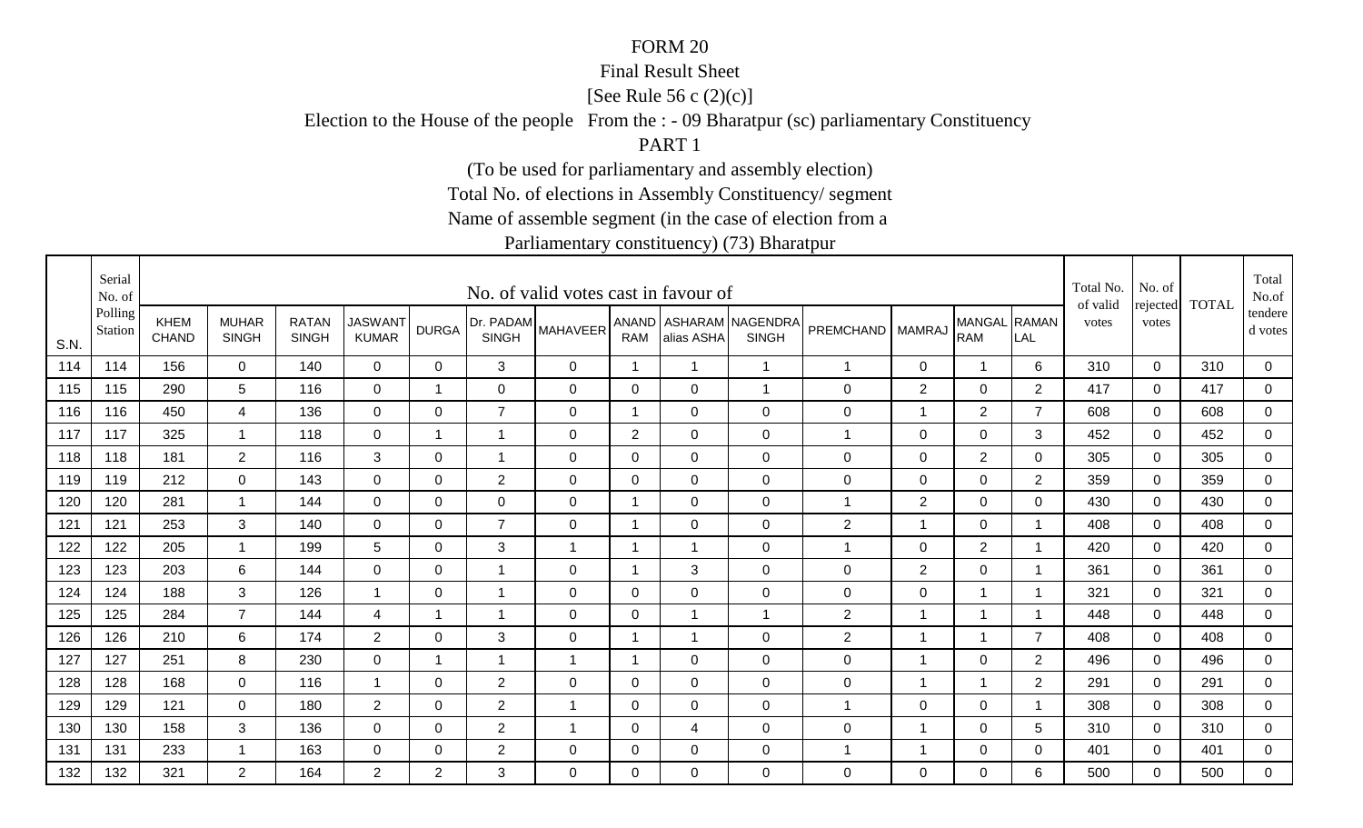#### Final Result Sheet

[See Rule 56 c (2)(c)]

Election to the House of the people From the : - 09 Bharatpur (sc) parliamentary Constituency

PART 1

(To be used for parliamentary and assembly election)

Total No. of elections in Assembly Constituency/ segment

Name of assemble segment (in the case of election from a

|      | Serial<br>No. of   |                             |                              |                              |                                |                         |                | No. of valid votes cast in favour of |                |                |                                        |                  |                |                            |                         | Total No.<br>of valid | No. of            | <b>TOTAL</b> | Total<br>No.of       |
|------|--------------------|-----------------------------|------------------------------|------------------------------|--------------------------------|-------------------------|----------------|--------------------------------------|----------------|----------------|----------------------------------------|------------------|----------------|----------------------------|-------------------------|-----------------------|-------------------|--------------|----------------------|
| S.N. | Polling<br>Station | <b>KHEM</b><br><b>CHAND</b> | <b>MUHAR</b><br><b>SINGH</b> | <b>RATAN</b><br><b>SINGH</b> | <b>JASWANT</b><br><b>KUMAR</b> | <b>DURGA</b>            | <b>SINGH</b>   | [Dr. PADAM MAHAVEER <sup>1</sup>     | <b>RAM</b>     | alias ASHA     | ANAND ASHARAM NAGENDRA<br><b>SINGH</b> | PREMCHAND        | <b>MAMRAJ</b>  | MANGAL RAMAN<br><b>RAM</b> | LAL                     | votes                 | rejected<br>votes |              | tendere  <br>d votes |
| 114  | 114                | 156                         | $\Omega$                     | 140                          | $\mathbf 0$                    | $\Omega$                | 3              | 0                                    | $\overline{1}$ | $\overline{1}$ | $\overline{1}$                         | $\mathbf{1}$     | 0              | 1                          | 6                       | 310                   | $\mathbf 0$       | 310          | 0                    |
| 115  | 115                | 290                         | 5                            | 116                          | 0                              | $\overline{\mathbf{1}}$ | 0              | 0                                    | 0              | 0              | $\overline{1}$                         | 0                | 2              | $\mathbf 0$                | $\overline{2}$          | 417                   | $\Omega$          | 417          | $\mathbf 0$          |
| 116  | 116                | 450                         | 4                            | 136                          | $\mathbf 0$                    | 0                       | $\overline{7}$ | 0                                    | 1              | 0              | $\mathbf 0$                            | $\mathbf 0$      | $\mathbf 1$    | $\overline{2}$             | $\overline{7}$          | 608                   | 0                 | 608          | 0                    |
| 117  | 117                | 325                         | $\overline{\mathbf{1}}$      | 118                          | 0                              | -1                      | $\mathbf 1$    | 0                                    | $\overline{c}$ | $\Omega$       | $\mathbf 0$                            | 1                | 0              | $\mathbf 0$                | 3                       | 452                   | $\Omega$          | 452          | 0                    |
| 118  | 118                | 181                         | $\overline{2}$               | 116                          | 3                              | $\Omega$                | $\mathbf{1}$   | $\mathbf 0$                          | $\overline{0}$ | $\Omega$       | $\overline{0}$                         | $\mathsf 0$      | $\mathbf 0$    | $\overline{2}$             | 0                       | 305                   | $\Omega$          | 305          | $\overline{0}$       |
| 119  | 119                | 212                         | $\mathbf 0$                  | 143                          | $\overline{0}$                 | $\mathbf 0$             | $\overline{2}$ | $\mathbf 0$                          | $\mathbf 0$    | $\overline{0}$ | $\overline{0}$                         | $\mathsf 0$      | $\mathbf 0$    | $\mathbf 0$                | $\overline{2}$          | 359                   | $\mathbf 0$       | 359          | $\overline{0}$       |
| 120  | 120                | 281                         | -1                           | 144                          | $\mathbf 0$                    | $\mathbf 0$             | $\mathbf 0$    | $\mathbf 0$                          | $\overline{ }$ | $\overline{0}$ | $\overline{0}$                         | -1               | $\overline{2}$ | $\mathbf 0$                | $\Omega$                | 430                   | $\Omega$          | 430          | 0                    |
| 121  | 121                | 253                         | 3                            | 140                          | $\overline{0}$                 | 0                       | $\overline{7}$ | $\mathbf 0$                          | 1              | $\mathbf 0$    | $\mathbf 0$                            | $\mathbf{2}$     | $\mathbf 1$    | $\pmb{0}$                  | $\overline{\mathbf{1}}$ | 408                   | 0                 | 408          | 0                    |
| 122  | 122                | 205                         | -1                           | 199                          | 5                              | $\Omega$                | 3              | $\mathbf 1$                          | -1             |                | $\overline{0}$                         | 1                | 0              | $\overline{2}$             | - 1                     | 420                   | $\mathbf 0$       | 420          | 0                    |
| 123  | 123                | 203                         | 6                            | 144                          | $\mathbf 0$                    | $\Omega$                | $\mathbf{1}$   | $\mathbf 0$                          | 1              | 3              | $\overline{0}$                         | $\mathbf 0$      | 2              | $\pmb{0}$                  | $\overline{\mathbf{1}}$ | 361                   | $\mathbf 0$       | 361          | $\overline{0}$       |
| 124  | 124                | 188                         | 3                            | 126                          | $\mathbf 1$                    | 0                       | $\mathbf 1$    | 0                                    | $\mathbf 0$    | $\mathbf 0$    | $\mathbf 0$                            | $\mathbf 0$      | 0              |                            |                         | 321                   | 0                 | 321          | 0                    |
| 125  | 125                | 284                         | $\overline{7}$               | 144                          | 4                              | -1                      | $\mathbf 1$    | 0                                    | 0              |                | $\overline{1}$                         | $\overline{2}$   | $\overline{1}$ |                            | - 1                     | 448                   | $\Omega$          | 448          | 0                    |
| 126  | 126                | 210                         | 6                            | 174                          | $\overline{2}$                 | 0                       | 3              | 0                                    | 1              | -1             | $\mathbf 0$                            | $\overline{c}$   | -1             |                            | $\overline{7}$          | 408                   | $\mathbf 0$       | 408          | $\overline{0}$       |
| 127  | 127                | 251                         | 8                            | 230                          | $\mathbf 0$                    | -1                      | $\mathbf{1}$   | $\mathbf 1$                          | 1              | 0              | $\overline{0}$                         | $\mathbf 0$      | $\overline{1}$ | $\mathbf 0$                | $\overline{2}$          | 496                   | $\Omega$          | 496          | 0                    |
| 128  | 128                | 168                         | $\overline{0}$               | 116                          | $\overline{1}$                 | $\mathbf 0$             | $\overline{2}$ | $\mathbf 0$                          | $\mathbf 0$    | $\overline{0}$ | $\mathbf 0$                            | $\boldsymbol{0}$ | $\overline{1}$ | 1                          | $\overline{2}$          | 291                   | $\overline{0}$    | 291          | $\mathbf 0$          |
| 129  | 129                | 121                         | 0                            | 180                          | $\overline{2}$                 | 0                       | $\overline{2}$ | $\mathbf{1}$                         | 0              | 0              | $\mathbf 0$                            | $\mathbf{1}$     | $\mathbf 0$    | $\pmb{0}$                  | - 1                     | 308                   | 0                 | 308          | $\overline{0}$       |
| 130  | 130                | 158                         | 3                            | 136                          | $\overline{0}$                 | 0                       | $\overline{c}$ | 1                                    | $\mathbf 0$    | 4              | $\mathbf 0$                            | $\mathbf 0$      | -1             | 0                          | 5                       | 310                   | $\mathbf 0$       | 310          | 0                    |
| 131  | 131                | 233                         | -1                           | 163                          | 0                              | 0                       | $\overline{2}$ | 0                                    | 0              | 0              | $\mathbf 0$                            | 1                | -1             | $\mathbf 0$                | 0                       | 401                   | $\mathbf 0$       | 401          | $\overline{0}$       |
| 132  | 132                | 321                         | $\overline{2}$               | 164                          | $\overline{2}$                 | $\overline{2}$          | 3              | $\Omega$                             | $\Omega$       | $\Omega$       | $\Omega$                               | 0                | $\Omega$       | 0                          | 6                       | 500                   | $\Omega$          | 500          | $\mathbf 0$          |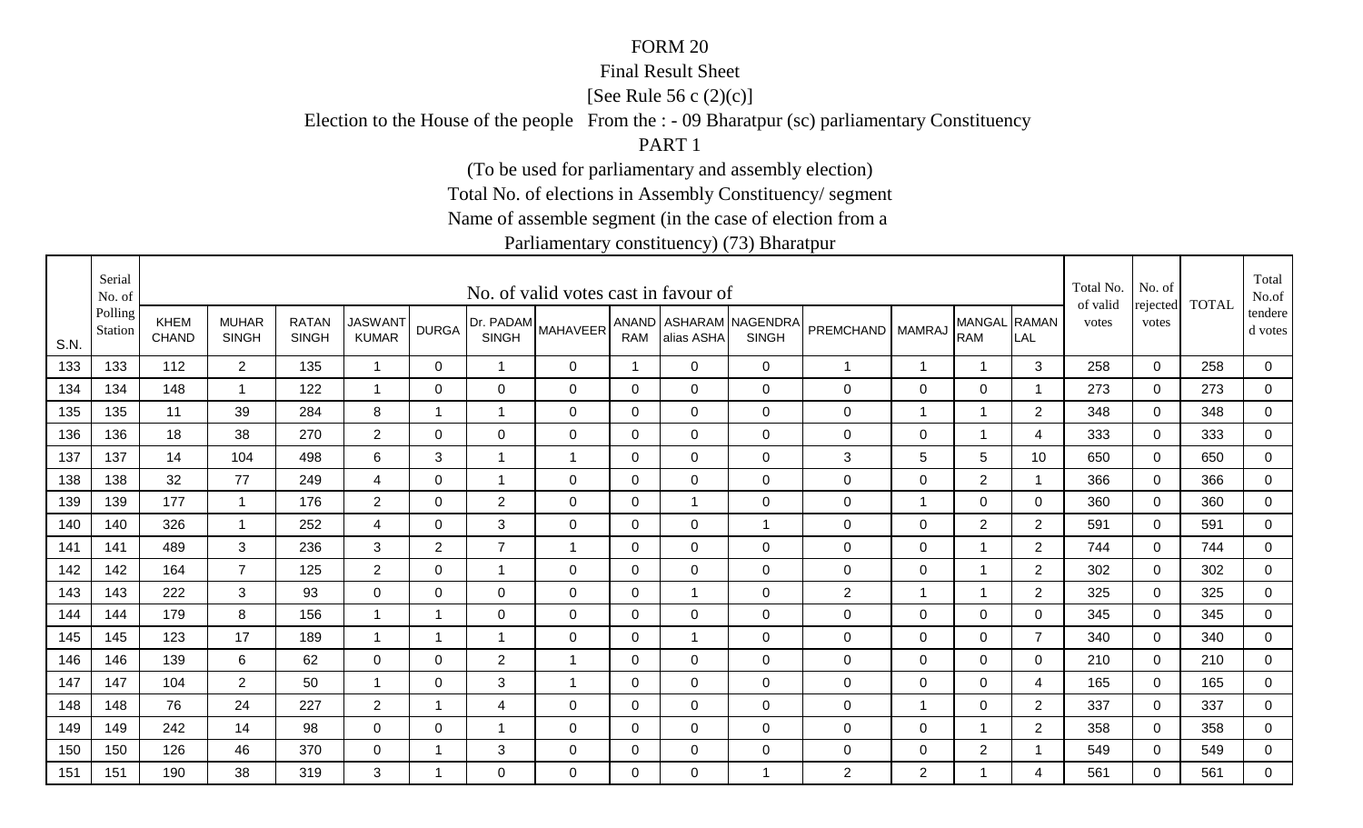#### Final Result Sheet

[See Rule 56 c (2)(c)]

Election to the House of the people From the : - 09 Bharatpur (sc) parliamentary Constituency

PART 1

(To be used for parliamentary and assembly election)

Total No. of elections in Assembly Constituency/ segment

Name of assemble segment (in the case of election from a

|      | Serial<br>No. of   |                             |                              |                              |                                |              |                           | No. of valid votes cast in favour of |              |                |                                        |                  |                |                            |                | Total No.<br>of valid | No. of            | <b>TOTAL</b> | Total<br>No.of     |
|------|--------------------|-----------------------------|------------------------------|------------------------------|--------------------------------|--------------|---------------------------|--------------------------------------|--------------|----------------|----------------------------------------|------------------|----------------|----------------------------|----------------|-----------------------|-------------------|--------------|--------------------|
| S.N. | Polling<br>Station | <b>KHEM</b><br><b>CHAND</b> | <b>MUHAR</b><br><b>SINGH</b> | <b>RATAN</b><br><b>SINGH</b> | <b>JASWANT</b><br><b>KUMAR</b> | <b>DURGA</b> | Dr. PADAM<br><b>SINGH</b> | <b>MAHAVEER</b>                      | <b>RAM</b>   | alias ASHA     | ANAND ASHARAM NAGENDRA<br><b>SINGH</b> | PREMCHAND        | <b>MAMRAJ</b>  | MANGAL RAMAN<br><b>RAM</b> | LAL            | votes                 | rejected<br>votes |              | tendere<br>d votes |
| 133  | 133                | 112                         | $\overline{2}$               | 135                          | $\overline{1}$                 | $\mathbf 0$  | $\mathbf{1}$              | $\overline{0}$                       | $\mathbf{1}$ | $\Omega$       | $\mathbf 0$                            | $\overline{1}$   | $\mathbf 1$    | $\overline{1}$             | 3              | 258                   | $\mathbf 0$       | 258          | $\mathbf 0$        |
| 134  | 134                | 148                         | $\overline{1}$               | 122                          | -1                             | $\Omega$     | $\mathbf 0$               | $\overline{0}$                       | 0            | 0              | $\mathbf 0$                            | $\mathbf 0$      | $\mathbf 0$    | $\mathbf 0$                | -1             | 273                   | $\mathbf 0$       | 273          | $\mathbf 0$        |
| 135  | 135                | 11                          | 39                           | 284                          | 8                              | 1            | 1                         | 0                                    | $\mathbf 0$  | $\mathbf 0$    | $\mathbf 0$                            | 0                | $\overline{1}$ |                            | $\overline{2}$ | 348                   | $\mathbf 0$       | 348          | $\mathbf 0$        |
| 136  | 136                | 18                          | 38                           | 270                          | $\overline{2}$                 | 0            | 0                         | $\overline{0}$                       | 0            | $\overline{0}$ | $\mathbf 0$                            | $\mathbf 0$      | $\mathbf 0$    |                            | 4              | 333                   | $\Omega$          | 333          | 0                  |
| 137  | 137                | 14                          | 104                          | 498                          | 6                              | 3            | $\mathbf 1$               | $\overline{1}$                       | $\mathbf{0}$ | $\Omega$       | $\mathbf 0$                            | $\sqrt{3}$       | $\sqrt{5}$     | $5\phantom{.0}$            | 10             | 650                   | $\Omega$          | 650          | $\overline{0}$     |
| 138  | 138                | 32                          | 77                           | 249                          | $\overline{4}$                 | 0            | $\overline{1}$            | $\mathbf 0$                          | $\mathbf 0$  | $\mathbf 0$    | $\mathbf 0$                            | $\boldsymbol{0}$ | $\mathbf 0$    | $\overline{2}$             | $\overline{1}$ | 366                   | $\mathbf 0$       | 366          | $\mathbf 0$        |
| 139  | 139                | 177                         | -1                           | 176                          | $\overline{2}$                 | $\Omega$     | $\overline{2}$            | $\mathbf 0$                          | $\mathbf 0$  |                | $\mathbf 0$                            | $\boldsymbol{0}$ | $\overline{1}$ | $\mathbf 0$                | $\mathbf 0$    | 360                   | $\Omega$          | 360          | $\mathbf 0$        |
| 140  | 140                | 326                         | $\overline{1}$               | 252                          | 4                              | 0            | 3                         | $\overline{0}$                       | 0            | 0              | $\mathbf 1$                            | 0                | $\mathbf 0$    | $\overline{2}$             | $\overline{2}$ | 591                   | 0                 | 591          | $\mathbf 0$        |
| 141  | 141                | 489                         | 3                            | 236                          | 3                              | 2            | $\overline{7}$            | $\overline{1}$                       | $\Omega$     | $\Omega$       | $\mathbf 0$                            | $\mathbf 0$      | 0              |                            | $\overline{2}$ | 744                   | $\Omega$          | 744          | 0                  |
| 142  | 142                | 164                         | $\overline{7}$               | 125                          | $\overline{2}$                 | $\Omega$     | $\mathbf{1}$              | $\overline{0}$                       | $\mathbf{0}$ | $\Omega$       | $\mathbf 0$                            | $\mathbf 0$      | $\mathbf 0$    | 1                          | 2              | 302                   | $\Omega$          | 302          | $\mathbf 0$        |
| 143  | 143                | 222                         | 3                            | 93                           | $\mathbf 0$                    | 0            | $\mathbf 0$               | $\overline{0}$                       | 0            |                | $\mathbf 0$                            | $\overline{2}$   | $\mathbf 1$    |                            | $\overline{2}$ | 325                   | 0                 | 325          | $\mathbf 0$        |
| 144  | 144                | 179                         | 8                            | 156                          |                                | -1           | $\Omega$                  | $\Omega$                             | $\mathbf{0}$ | $\Omega$       | $\mathbf 0$                            | 0                | 0              | $\mathbf 0$                | 0              | 345                   | $\Omega$          | 345          | 0                  |
| 145  | 145                | 123                         | 17                           | 189                          | $\overline{1}$                 | 1            | 1                         | $\Omega$                             | 0            |                | $\mathbf 0$                            | $\mathbf 0$      | 0              | $\mathbf 0$                | $\overline{7}$ | 340                   | $\Omega$          | 340          | $\mathbf 0$        |
| 146  | 146                | 139                         | 6                            | 62                           | 0                              | 0            | $\overline{2}$            | $\overline{1}$                       | 0            | 0              | $\mathbf 0$                            | 0                | 0              | $\mathbf 0$                | 0              | 210                   | $\Omega$          | 210          | 0                  |
| 147  | 147                | 104                         | $\overline{2}$               | 50                           |                                | 0            | 3                         | $\mathbf 1$                          | 0            | 0              | $\mathbf 0$                            | $\mathbf 0$      | $\mathbf 0$    | $\mathbf 0$                | $\overline{4}$ | 165                   | 0                 | 165          | $\mathbf 0$        |
| 148  | 148                | 76                          | 24                           | 227                          | $\overline{2}$                 | -1           | 4                         | $\mathbf 0$                          | $\mathbf 0$  | $\mathbf 0$    | $\mathbf 0$                            | $\mathbf 0$      | $\overline{1}$ | $\mathbf 0$                | $\overline{2}$ | 337                   | 0                 | 337          | $\mathbf 0$        |
| 149  | 149                | 242                         | 14                           | 98                           | 0                              | 0            | -1                        | 0                                    | $\mathbf 0$  | $\Omega$       | $\mathbf 0$                            | $\mathbf 0$      | 0              | 1                          | 2              | 358                   | 0                 | 358          | 0                  |
| 150  | 150                | 126                         | 46                           | 370                          | $\mathbf 0$                    | -1           | 3                         | 0                                    | $\mathbf 0$  | 0              | $\mathbf 0$                            | 0                | 0              | $\overline{2}$             |                | 549                   | 0                 | 549          | $\mathbf 0$        |
| 151  | 151                | 190                         | 38                           | 319                          | 3                              | -1           | 0                         | 0                                    | $\Omega$     | $\Omega$       | $\mathbf 1$                            | $\overline{2}$   | $\overline{2}$ |                            | 4              | 561                   | $\Omega$          | 561          | 0                  |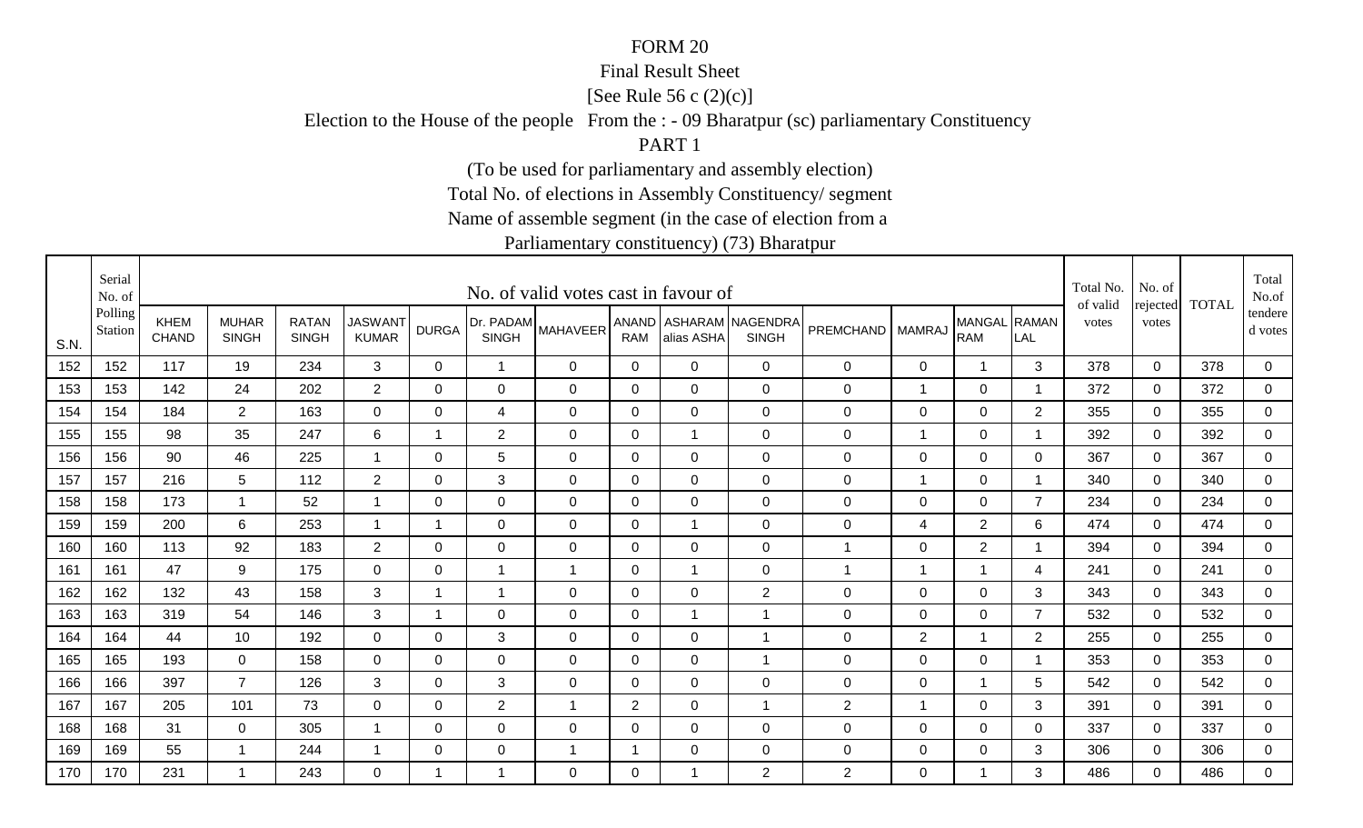#### Final Result Sheet

[See Rule 56 c (2)(c)]

Election to the House of the people From the : - 09 Bharatpur (sc) parliamentary Constituency

PART 1

(To be used for parliamentary and assembly election)

Total No. of elections in Assembly Constituency/ segment

Name of assemble segment (in the case of election from a

|      | Serial<br>No. of   |                             |                              |                              |                                |              |                           | No. of valid votes cast in favour of |                |                |                                        |                  |                |                            |                          | Total No.<br>of valid | No. of            | <b>TOTAL</b> | Total<br>No.of       |
|------|--------------------|-----------------------------|------------------------------|------------------------------|--------------------------------|--------------|---------------------------|--------------------------------------|----------------|----------------|----------------------------------------|------------------|----------------|----------------------------|--------------------------|-----------------------|-------------------|--------------|----------------------|
| S.N. | Polling<br>Station | <b>KHEM</b><br><b>CHAND</b> | <b>MUHAR</b><br><b>SINGH</b> | <b>RATAN</b><br><b>SINGH</b> | <b>JASWANT</b><br><b>KUMAR</b> | <b>DURGA</b> | Dr. PADAM<br><b>SINGH</b> | <b>MAHAVEER</b>                      | <b>RAM</b>     | alias ASHA     | ANAND ASHARAM NAGENDRA<br><b>SINGH</b> | <b>PREMCHAND</b> | <b>MAMRAJ</b>  | MANGAL RAMAN<br><b>RAM</b> | LAL                      | votes                 | rejected<br>votes |              | tendere  <br>d votes |
| 152  | 152                | 117                         | 19                           | 234                          | $\mathbf{3}$                   | $\mathbf{0}$ | $\overline{ }$            | 0                                    | $\mathbf 0$    | $\Omega$       | $\mathbf 0$                            | $\mathbf 0$      | 0              | $\mathbf 1$                | 3                        | 378                   | $\mathbf 0$       | 378          | 0                    |
| 153  | 153                | 142                         | 24                           | 202                          | $\overline{2}$                 | $\Omega$     | 0                         | 0                                    | $\mathbf 0$    | $\Omega$       | $\mathbf 0$                            | 0                | $\mathbf 1$    | 0                          | -1                       | 372                   | 0                 | 372          | $\mathbf 0$          |
| 154  | 154                | 184                         | $\overline{2}$               | 163                          | 0                              | 0            | 4                         | 0                                    | 0              | 0              | $\mathbf 0$                            | $\mathbf 0$      | 0              | 0                          | 2                        | 355                   | 0                 | 355          | 0                    |
| 155  | 155                | 98                          | 35                           | 247                          | 6                              | 1            | $\overline{2}$            | 0                                    | 0              |                | $\mathbf 0$                            | $\mathbf 0$      | $\mathbf 1$    | $\mathbf 0$                | $\overline{\mathbf{1}}$  | 392                   | $\Omega$          | 392          | 0                    |
| 156  | 156                | 90                          | 46                           | 225                          | $\overline{1}$                 | $\Omega$     | 5                         | $\mathbf 0$                          | $\mathbf 0$    | $\Omega$       | $\mathbf 0$                            | $\mathsf 0$      | $\mathbf 0$    | $\mathbf 0$                | $\Omega$                 | 367                   | $\Omega$          | 367          | $\overline{0}$       |
| 157  | 157                | 216                         | 5                            | 112                          | $\overline{2}$                 | $\mathbf 0$  | 3                         | $\mathbf 0$                          | $\mathbf 0$    | $\overline{0}$ | $\mathbf 0$                            | $\mathsf 0$      | $\overline{1}$ | $\mathbf 0$                | $\overline{1}$           | 340                   | $\mathbf 0$       | 340          | $\overline{0}$       |
| 158  | 158                | 173                         | $\overline{1}$               | 52                           |                                | $\mathbf 0$  | $\mathbf 0$               | $\mathbf 0$                          | $\mathbf 0$    | $\Omega$       | $\mathbf 0$                            | $\mathsf 0$      | $\mathbf 0$    | $\mathbf 0$                | $\overline{7}$           | 234                   | $\mathbf 0$       | 234          | 0                    |
| 159  | 159                | 200                         | 6                            | 253                          | $\overline{1}$                 | 1            | $\mathbf 0$               | $\mathbf 0$                          | 0              |                | $\mathbf 0$                            | $\pmb{0}$        | 4              | $\overline{2}$             | 6                        | 474                   | $\mathbf 0$       | 474          | 0                    |
| 160  | 160                | 113                         | 92                           | 183                          | $\overline{2}$                 | $\Omega$     | 0                         | $\mathbf 0$                          | 0              | 0              | $\mathbf 0$                            | 1                | 0              | $\overline{2}$             | -1                       | 394                   | $\mathbf 0$       | 394          | 0                    |
| 161  | 161                | 47                          | 9                            | 175                          | $\mathbf 0$                    | $\mathbf 0$  | $\overline{1}$            | $\overline{1}$                       | $\mathbf 0$    |                | $\mathbf 0$                            | $\mathbf 1$      | $\overline{1}$ | $\overline{1}$             | $\overline{\mathcal{A}}$ | 241                   | $\mathbf 0$       | 241          | $\overline{0}$       |
| 162  | 162                | 132                         | 43                           | 158                          | 3                              | $\mathbf 1$  | $\mathbf 1$               | $\mathbf 0$                          | $\mathbf 0$    | 0              | $\overline{2}$                         | $\mathbf 0$      | $\mathbf 0$    | $\mathbf 0$                | 3                        | 343                   | 0                 | 343          | $\mathbf 0$          |
| 163  | 163                | 319                         | 54                           | 146                          | 3                              | $\mathbf 1$  | $\mathbf 0$               | $\mathbf 0$                          | 0              |                | -1                                     | $\mathbf 0$      | 0              | $\mathbf 0$                | $\overline{7}$           | 532                   | $\Omega$          | 532          | 0                    |
| 164  | 164                | 44                          | 10                           | 192                          | $\overline{0}$                 | 0            | 3                         | $\mathbf 0$                          | 0              | $\Omega$       |                                        | 0                | $\overline{2}$ |                            | $\overline{2}$           | 255                   | $\mathbf 0$       | 255          | $\overline{0}$       |
| 165  | 165                | 193                         | $\mathbf 0$                  | 158                          | $\mathbf 0$                    | $\Omega$     | $\mathbf 0$               | $\mathbf 0$                          | $\mathbf{0}$   | $\Omega$       | $\overline{1}$                         | $\mathbf 0$      | 0              | $\mathbf 0$                | - 1                      | 353                   | $\Omega$          | 353          | 0                    |
| 166  | 166                | 397                         | $\overline{7}$               | 126                          | 3                              | $\mathbf 0$  | $\mathfrak{B}$            | $\mathbf 0$                          | $\mathbf 0$    | $\mathbf 0$    | $\mathbf 0$                            | $\mathsf 0$      | $\mathbf 0$    | 1                          | 5                        | 542                   | $\overline{0}$    | 542          | $\mathbf 0$          |
| 167  | 167                | 205                         | 101                          | 73                           | 0                              | 0            | $\overline{2}$            | $\overline{1}$                       | $\overline{2}$ | 0              | $\overline{1}$                         | $\mathbf{2}$     | $\overline{1}$ | 0                          | 3                        | 391                   | $\Omega$          | 391          | $\overline{0}$       |
| 168  | 168                | 31                          | $\mathbf 0$                  | 305                          |                                | 0            | $\mathbf 0$               | $\mathbf 0$                          | 0              | 0              | $\mathbf 0$                            | $\mathbf 0$      | $\mathbf 0$    | $\mathbf 0$                | 0                        | 337                   | $\mathbf 0$       | 337          | 0                    |
| 169  | 169                | 55                          | $\mathbf 1$                  | 244                          | -1                             | 0            | $\mathbf 0$               | -1                                   |                | 0              | $\mathbf 0$                            | $\mathbf 0$      | 0              | $\mathbf 0$                | 3                        | 306                   | $\mathbf 0$       | 306          | $\overline{0}$       |
| 170  | 170                | 231                         | $\mathbf{1}$                 | 243                          | $\Omega$                       | $\mathbf 1$  | 1                         | $\Omega$                             | $\mathbf{0}$   |                | 2                                      | $\overline{2}$   | $\Omega$       |                            | 3                        | 486                   | $\Omega$          | 486          | $\overline{0}$       |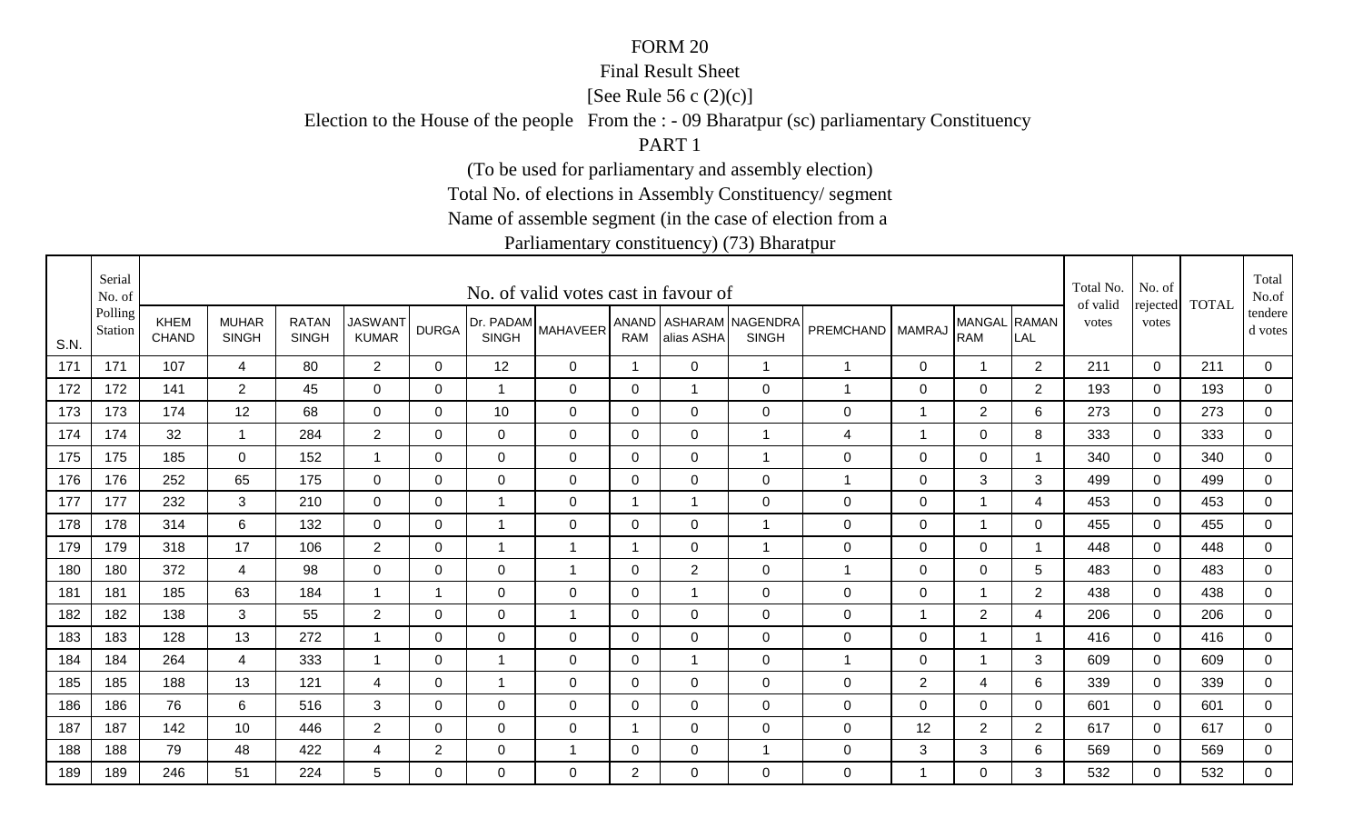#### Final Result Sheet

[See Rule 56 c (2)(c)]

Election to the House of the people From the : - 09 Bharatpur (sc) parliamentary Constituency

PART 1

(To be used for parliamentary and assembly election)

Total No. of elections in Assembly Constituency/ segment

Name of assemble segment (in the case of election from a

|      | Serial<br>No. of   |                             |                              |                              |                                |                |                | No. of valid votes cast in favour of |                |                |                                        |                  |                |                            |                | Total No.<br>of valid | No. of            | <b>TOTAL</b> | Total<br>No.of       |
|------|--------------------|-----------------------------|------------------------------|------------------------------|--------------------------------|----------------|----------------|--------------------------------------|----------------|----------------|----------------------------------------|------------------|----------------|----------------------------|----------------|-----------------------|-------------------|--------------|----------------------|
| S.N. | Polling<br>Station | <b>KHEM</b><br><b>CHAND</b> | <b>MUHAR</b><br><b>SINGH</b> | <b>RATAN</b><br><b>SINGH</b> | <b>JASWANT</b><br><b>KUMAR</b> | <b>DURGA</b>   | <b>SINGH</b>   | [Dr. PADAM MAHAVEER <sup>1</sup>     | <b>RAM</b>     | alias ASHA     | ANAND ASHARAM NAGENDRA<br><b>SINGH</b> | PREMCHAND        | <b>MAMRAJ</b>  | MANGAL RAMAN<br><b>RAM</b> | LAL            | votes                 | rejected<br>votes |              | tendere  <br>d votes |
| 171  | 171                | 107                         | $\overline{4}$               | 80                           | $2^{\circ}$                    | $\Omega$       | 12             | 0                                    | $\overline{1}$ | $\mathbf 0$    | $\overline{1}$                         | $\mathbf{1}$     | 0              | 1                          | 2              | 211                   | $\mathbf 0$       | 211          | 0                    |
| 172  | 172                | 141                         | $\overline{2}$               | 45                           | 0                              | 0              | $\mathbf{1}$   | 0                                    | 0              | -1             | $\mathbf 0$                            | $\overline{1}$   | 0              | $\mathbf 0$                | $\overline{2}$ | 193                   | 0                 | 193          | $\mathbf 0$          |
| 173  | 173                | 174                         | 12                           | 68                           | $\mathbf 0$                    | 0              | 10             | 0                                    | 0              | 0              | $\mathbf 0$                            | $\mathbf 0$      | $\overline{1}$ | $\overline{2}$             | 6              | 273                   | 0                 | 273          | 0                    |
| 174  | 174                | 32                          | $\overline{\mathbf{1}}$      | 284                          | $\overline{2}$                 | 0              | 0              | 0                                    | 0              | $\Omega$       | $\overline{1}$                         | 4                | $\mathbf 1$    | $\mathbf 0$                | 8              | 333                   | $\Omega$          | 333          | 0                    |
| 175  | 175                | 185                         | $\Omega$                     | 152                          | $\mathbf{1}$                   | $\Omega$       | $\overline{0}$ | $\mathbf 0$                          | $\overline{0}$ | $\overline{0}$ | $\overline{1}$                         | $\boldsymbol{0}$ | $\mathbf 0$    | $\mathbf 0$                | -1             | 340                   | $\Omega$          | 340          | $\overline{0}$       |
| 176  | 176                | 252                         | 65                           | 175                          | $\overline{0}$                 | $\mathbf 0$    | $\overline{0}$ | $\mathbf 0$                          | $\overline{0}$ | $\mathbf 0$    | $\overline{0}$                         | 1                | $\mathbf 0$    | $\mathbf{3}$               | 3              | 499                   | $\mathbf 0$       | 499          | $\overline{0}$       |
| 177  | 177                | 232                         | 3                            | 210                          | $\mathbf 0$                    | $\mathbf 0$    | $\overline{1}$ | $\mathbf 0$                          | $\overline{ }$ |                | $\overline{0}$                         | $\mathbf 0$      | $\mathbf 0$    |                            | 4              | 453                   | $\Omega$          | 453          | 0                    |
| 178  | 178                | 314                         | 6                            | 132                          | $\overline{0}$                 | 0              | $\mathbf{1}$   | $\mathbf 0$                          | 0              | 0              | $\mathbf{1}$                           | $\pmb{0}$        | $\mathbf 0$    |                            | 0              | 455                   | 0                 | 455          | 0                    |
| 179  | 179                | 318                         | 17                           | 106                          | $2^{\circ}$                    | 0              | -1             | $\mathbf 1$                          | -1             | 0              | $\overline{1}$                         | $\mathbf 0$      | 0              | $\mathbf 0$                | - 1            | 448                   | $\Omega$          | 448          | 0                    |
| 180  | 180                | 372                         | 4                            | 98                           | $\overline{0}$                 | $\Omega$       | $\overline{0}$ | $\mathbf 1$                          | $\Omega$       | $\overline{2}$ | $\overline{0}$                         | 1                | $\mathbf 0$    | $\pmb{0}$                  | 5              | 483                   | $\mathbf 0$       | 483          | $\overline{0}$       |
| 181  | 181                | 185                         | 63                           | 184                          | $\mathbf 1$                    | -1             | 0              | 0                                    | $\mathbf 0$    | -1             | $\mathbf 0$                            | $\mathbf 0$      | 0              |                            | $\overline{2}$ | 438                   | 0                 | 438          | $\overline{0}$       |
| 182  | 182                | 138                         | 3                            | 55                           | $\overline{2}$                 | 0              | 0              | 1                                    | 0              | $\Omega$       | $\mathbf 0$                            | $\mathbf 0$      | $\overline{1}$ | $\overline{2}$             | 4              | 206                   | $\Omega$          | 206          | 0                    |
| 183  | 183                | 128                         | 13                           | 272                          | $\overline{1}$                 | 0              | 0              | 0                                    | 0              | $\mathbf 0$    | $\mathbf 0$                            | $\mathbf 0$      | $\mathbf 0$    |                            |                | 416                   | $\mathbf 0$       | 416          | $\overline{0}$       |
| 184  | 184                | 264                         | 4                            | 333                          | $\mathbf 1$                    | $\Omega$       | $\mathbf 1$    | 0                                    | $\Omega$       | -1             | $\overline{0}$                         | $\mathbf{1}$     | 0              | 1                          | 3              | 609                   | $\Omega$          | 609          | 0                    |
| 185  | 185                | 188                         | 13                           | 121                          | $\overline{4}$                 | $\mathbf 0$    | $\mathbf{1}$   | $\mathbf 0$                          | $\mathbf 0$    | $\overline{0}$ | $\mathbf 0$                            | $\mathsf 0$      | $\sqrt{2}$     | $\overline{\mathbf{4}}$    | 6              | 339                   | $\mathbf 0$       | 339          | $\mathbf 0$          |
| 186  | 186                | 76                          | 6                            | 516                          | 3                              | 0              | 0              | $\mathbf 0$                          | $\mathbf 0$    | 0              | $\mathbf 0$                            | $\mathbf 0$      | 0              | 0                          | $\mathbf 0$    | 601                   | $\Omega$          | 601          | $\mathbf 0$          |
| 187  | 187                | 142                         | 10                           | 446                          | $\overline{2}$                 | 0              | 0              | 0                                    |                | 0              | $\mathbf 0$                            | $\mathbf 0$      | 12             | $\overline{2}$             | $\overline{2}$ | 617                   | 0                 | 617          | 0                    |
| 188  | 188                | 79                          | 48                           | 422                          | 4                              | $\overline{2}$ | 0              | -1                                   | 0              | 0              | $\overline{1}$                         | $\mathbf 0$      | 3              | $\mathbf{3}$               | 6              | 569                   | $\mathbf 0$       | 569          | $\overline{0}$       |
| 189  | 189                | 246                         | 51                           | 224                          | 5                              | $\Omega$       | $\Omega$       | $\Omega$                             | $\overline{2}$ | $\Omega$       | $\Omega$                               | 0                | $\overline{1}$ | 0                          | 3              | 532                   | $\Omega$          | 532          | $\mathbf 0$          |